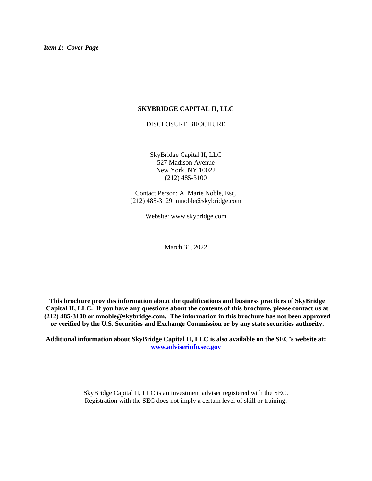## <span id="page-0-0"></span>**SKYBRIDGE CAPITAL II, LLC**

DISCLOSURE BROCHURE

SkyBridge Capital II, LLC 527 Madison Avenue New York, NY 10022 (212) 485-3100

Contact Person: A. Marie Noble, Esq. (212) 485-3129; mnoble@skybridge.com

Website: www.skybridge.com

March 31, 2022

**This brochure provides information about the qualifications and business practices of SkyBridge Capital II, LLC. If you have any questions about the contents of this brochure, please contact us at (212) 485-3100 or mnoble@skybridge.com. The information in this brochure has not been approved or verified by the U.S. Securities and Exchange Commission or by any state securities authority.**

**Additional information about SkyBridge Capital II, LLC is also available on the SEC's website at: [www.adviserinfo.sec.gov](http://www.adviserinfo.sec.gov/)**

> SkyBridge Capital II, LLC is an investment adviser registered with the SEC. Registration with the SEC does not imply a certain level of skill or training.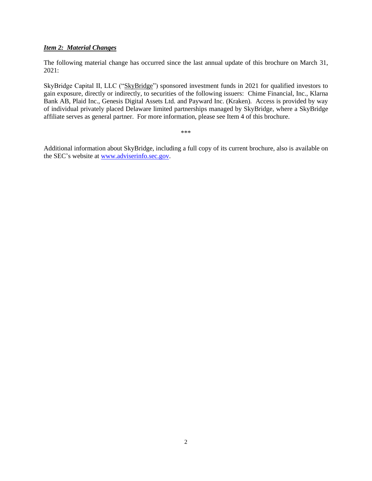## <span id="page-1-0"></span>*Item 2: Material Changes*

The following material change has occurred since the last annual update of this brochure on March 31, 2021:

SkyBridge Capital II, LLC ("SkyBridge") sponsored investment funds in 2021 for qualified investors to gain exposure, directly or indirectly, to securities of the following issuers: Chime Financial, Inc., Klarna Bank AB, Plaid Inc., Genesis Digital Assets Ltd. and Payward Inc. (Kraken). Access is provided by way of individual privately placed Delaware limited partnerships managed by SkyBridge, where a SkyBridge affiliate serves as general partner. For more information, please see Item 4 of this brochure.

\*\*\*

Additional information about SkyBridge, including a full copy of its current brochure, also is available on the SEC's website at [www.adviserinfo.sec.gov.](http://www.adviserinfo.sec.gov/)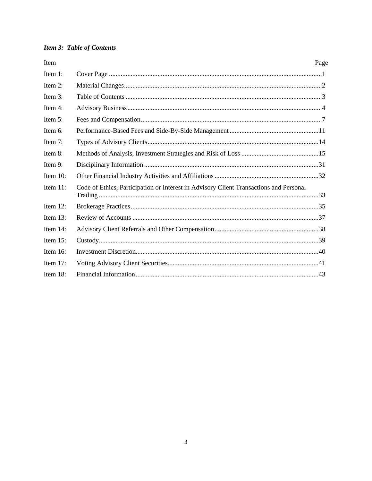## <span id="page-2-0"></span>**Item 3: Table of Contents**

| Item        | Page                                                                                   |  |
|-------------|----------------------------------------------------------------------------------------|--|
| Item 1:     |                                                                                        |  |
| Item 2:     |                                                                                        |  |
| Item 3:     |                                                                                        |  |
| Item 4:     |                                                                                        |  |
| Item $5$ :  |                                                                                        |  |
| Item 6:     |                                                                                        |  |
| Item $7$ :  |                                                                                        |  |
| Item 8:     |                                                                                        |  |
| Item 9:     |                                                                                        |  |
| Item $10$ : |                                                                                        |  |
| Item $11$ : | Code of Ethics, Participation or Interest in Advisory Client Transactions and Personal |  |
| Item $12$ : |                                                                                        |  |
| Item $13$ : |                                                                                        |  |
| Item $14$ : |                                                                                        |  |
| Item $15$ : |                                                                                        |  |
| Item $16$ : |                                                                                        |  |
| Item 17:    |                                                                                        |  |
| Item $18$ : |                                                                                        |  |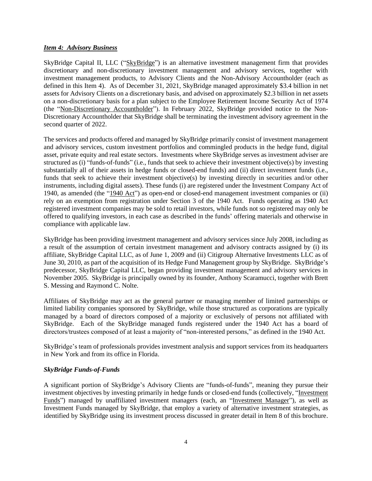### <span id="page-3-0"></span>*Item 4: Advisory Business*

SkyBridge Capital II, LLC ("SkyBridge") is an alternative investment management firm that provides discretionary and non-discretionary investment management and advisory services, together with investment management products, to Advisory Clients and the Non-Advisory Accountholder (each as defined in this Item 4). As of December 31, 2021, SkyBridge managed approximately \$3.4 billion in net assets for Advisory Clients on a discretionary basis, and advised on approximately \$2.3 billion in net assets on a non-discretionary basis for a plan subject to the Employee Retirement Income Security Act of 1974 (the "Non-Discretionary Accountholder"). In February 2022, SkyBridge provided notice to the Non-Discretionary Accountholder that SkyBridge shall be terminating the investment advisory agreement in the second quarter of 2022.

The services and products offered and managed by SkyBridge primarily consist of investment management and advisory services, custom investment portfolios and commingled products in the hedge fund, digital asset, private equity and real estate sectors. Investments where SkyBridge serves as investment adviser are structured as (i) "funds-of-funds" (i.e., funds that seek to achieve their investment objective(s) by investing substantially all of their assets in hedge funds or closed-end funds) and (ii) direct investment funds (i.e., funds that seek to achieve their investment objective(s) by investing directly in securities and/or other instruments, including digital assets). These funds (i) are registered under the Investment Company Act of 1940, as amended (the "1940 Act") as open-end or closed-end management investment companies or (ii) rely on an exemption from registration under Section 3 of the 1940 Act. Funds operating as 1940 Act registered investment companies may be sold to retail investors, while funds not so registered may only be offered to qualifying investors, in each case as described in the funds' offering materials and otherwise in compliance with applicable law.

SkyBridge has been providing investment management and advisory services since July 2008, including as a result of the assumption of certain investment management and advisory contracts assigned by (i) its affiliate, SkyBridge Capital LLC, as of June 1, 2009 and (ii) Citigroup Alternative Investments LLC as of June 30, 2010, as part of the acquisition of its Hedge Fund Management group by SkyBridge. SkyBridge's predecessor, SkyBridge Capital LLC, began providing investment management and advisory services in November 2005. SkyBridge is principally owned by its founder, Anthony Scaramucci, together with Brett S. Messing and Raymond C. Nolte.

Affiliates of SkyBridge may act as the general partner or managing member of limited partnerships or limited liability companies sponsored by SkyBridge, while those structured as corporations are typically managed by a board of directors composed of a majority or exclusively of persons not affiliated with SkyBridge. Each of the SkyBridge managed funds registered under the 1940 Act has a board of directors/trustees composed of at least a majority of "non-interested persons," as defined in the 1940 Act.

SkyBridge's team of professionals provides investment analysis and support services from its headquarters in New York and from its office in Florida.

## *SkyBridge Funds-of-Funds*

A significant portion of SkyBridge's Advisory Clients are "funds-of-funds", meaning they pursue their investment objectives by investing primarily in hedge funds or closed-end funds (collectively, "Investment Funds") managed by unaffiliated investment managers (each, an "Investment Manager"), as well as Investment Funds managed by SkyBridge, that employ a variety of alternative investment strategies, as identified by SkyBridge using its investment process discussed in greater detail in Item 8 of this brochure.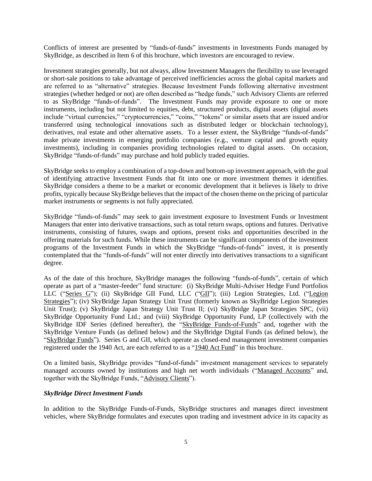Conflicts of interest are presented by "funds-of-funds" investments in Investments Funds managed by SkyBridge, as described in Item 6 of this brochure, which investors are encouraged to review.

Investment strategies generally, but not always, allow Investment Managers the flexibility to use leveraged or short-sale positions to take advantage of perceived inefficiencies across the global capital markets and are referred to as "alternative" strategies. Because Investment Funds following alternative investment strategies (whether hedged or not) are often described as "hedge funds," such Advisory Clients are referred to as SkyBridge "funds-of-funds". The Investment Funds may provide exposure to one or more instruments, including but not limited to equities, debt, structured products, digital assets (digital assets include "virtual currencies," "cryptocurrencies," "coins," "tokens" or similar assets that are issued and/or transferred using technological innovations such as distributed ledger or blockchain technology), derivatives, real estate and other alternative assets. To a lesser extent, the SkyBridge "funds-of-funds" make private investments in emerging portfolio companies (e.g., venture capital and growth equity investments), including in companies providing technologies related to digital assets. On occasion, SkyBridge "funds-of-funds" may purchase and hold publicly traded equities.

SkyBridge seeks to employ a combination of a top-down and bottom-up investment approach, with the goal of identifying attractive Investment Funds that fit into one or more investment themes it identifies. SkyBridge considers a theme to be a market or economic development that it believes is likely to drive profits, typically because SkyBridge believes that the impact of the chosen theme on the pricing of particular market instruments or segments is not fully appreciated.

SkyBridge "funds-of-funds" may seek to gain investment exposure to Investment Funds or Investment Managers that enter into derivative transactions, such as total return swaps, options and futures. Derivative instruments, consisting of futures, swaps and options, present risks and opportunities described in the offering materials for such funds. While these instruments can be significant components of the investment programs of the Investment Funds in which the SkyBridge "funds-of-funds" invest, it is presently contemplated that the "funds-of-funds" will not enter directly into derivatives transactions to a significant degree.

As of the date of this brochure, SkyBridge manages the following "funds-of-funds", certain of which operate as part of a "master-feeder" fund structure: (i) SkyBridge Multi-Adviser Hedge Fund Portfolios LLC ("Series G"); (ii) SkyBridge GII Fund, LLC ("GII"); (iii) Legion Strategies, Ltd. ("Legion Strategies"); (iv) SkyBridge Japan Strategy Unit Trust (formerly known as SkyBridge Legion Strategies Unit Trust); (v) SkyBridge Japan Strategy Unit Trust II; (vi) SkyBridge Japan Strategies SPC, (vii) SkyBridge Opportunity Fund Ltd.; and (viii) SkyBridge Opportunity Fund, LP (collectively with the SkyBridge IDF Series (defined hereafter), the "SkyBridge Funds-of-Funds" and, together with the SkyBridge Venture Funds (as defined below) and the SkyBridge Digital Funds (as defined below), the "SkyBridge Funds"). Series G and GII, which operate as closed-end management investment companies registered under the 1940 Act, are each referred to as a "1940 Act Fund" in this brochure.

On a limited basis, SkyBridge provides "fund-of-funds" investment management services to separately managed accounts owned by institutions and high net worth individuals ("Managed Accounts" and, together with the SkyBridge Funds, "Advisory Clients").

## *SkyBridge Direct Investment Funds*

In addition to the SkyBridge Funds-of-Funds, SkyBridge structures and manages direct investment vehicles, where SkyBridge formulates and executes upon trading and investment advice in its capacity as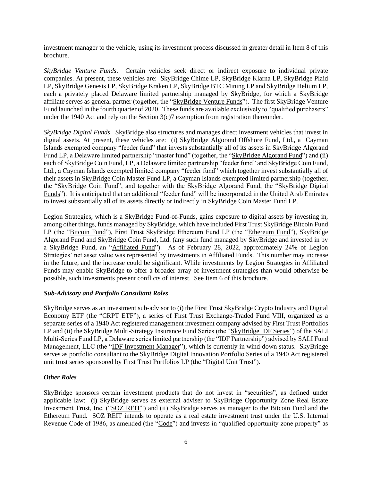investment manager to the vehicle, using its investment process discussed in greater detail in Item 8 of this brochure.

*SkyBridge Venture Funds*. Certain vehicles seek direct or indirect exposure to individual private companies. At present, these vehicles are: SkyBridge Chime LP, SkyBridge Klarna LP, SkyBridge Plaid LP, SkyBridge Genesis LP, SkyBridge Kraken LP, SkyBridge BTC Mining LP and SkyBridge Helium LP, each a privately placed Delaware limited partnership managed by SkyBridge, for which a SkyBridge affiliate serves as general partner (together, the "SkyBridge Venture Funds"). The first SkyBridge Venture Fund launched in the fourth quarter of 2020. These funds are available exclusively to "qualified purchasers" under the 1940 Act and rely on the Section 3(c)7 exemption from registration thereunder.

*SkyBridge Digital Funds*. SkyBridge also structures and manages direct investment vehicles that invest in digital assets. At present, these vehicles are: (i) SkyBridge Algorand Offshore Fund, Ltd., a Cayman Islands exempted company "feeder fund" that invests substantially all of its assets in SkyBridge Algorand Fund LP, a Delaware limited partnership "master fund" (together, the "SkyBridge Algorand Fund") and (ii) each of SkyBridge Coin Fund, LP, a Delaware limited partnership "feeder fund" and SkyBridge Coin Fund, Ltd., a Cayman Islands exempted limited company "feeder fund" which together invest substantially all of their assets in SkyBridge Coin Master Fund LP, a Cayman Islands exempted limited partnership (together, the "SkyBridge Coin Fund", and together with the SkyBridge Algorand Fund, the "SkyBridge Digital Funds"). It is anticipated that an additional "feeder fund" will be incorporated in the United Arab Emirates to invest substantially all of its assets directly or indirectly in SkyBridge Coin Master Fund LP.

Legion Strategies, which is a SkyBridge Fund-of-Funds, gains exposure to digital assets by investing in, among other things, funds managed by SkyBridge, which have included First Trust SkyBridge Bitcoin Fund LP (the "Bitcoin Fund"), First Trust SkyBridge Ethereum Fund LP (the "Ethereum Fund"), SkyBridge Algorand Fund and SkyBridge Coin Fund, Ltd. (any such fund managed by SkyBridge and invested in by a SkyBridge Fund, an "Affiliated Fund"). As of February 28, 2022, approximately 24% of Legion Strategies' net asset value was represented by investments in Affiliated Funds. This number may increase in the future, and the increase could be significant. While investments by Legion Strategies in Affiliated Funds may enable SkyBridge to offer a broader array of investment strategies than would otherwise be possible, such investments present conflicts of interest. See Item 6 of this brochure.

## *Sub-Advisory and Portfolio Consultant Roles*

SkyBridge serves as an investment sub-advisor to (i) the First Trust SkyBridge Crypto Industry and Digital Economy ETF (the "CRPT ETF"), a series of First Trust Exchange-Traded Fund VIII, organized as a separate series of a 1940 Act registered management investment company advised by First Trust Portfolios LP and (ii) the SkyBridge Multi-Strategy Insurance Fund Series (the "SkyBridge IDF Series") of the SALI Multi-Series Fund LP, a Delaware series limited partnership (the "IDF Partnership") advised by SALI Fund Management, LLC (the "IDF Investment Manager"), which is currently in wind-down status. SkyBridge serves as portfolio consultant to the SkyBridge Digital Innovation Portfolio Series of a 1940 Act registered unit trust series sponsored by First Trust Portfolios LP (the "Digital Unit Trust").

## *Other Roles*

SkyBridge sponsors certain investment products that do not invest in "securities", as defined under applicable law: (i) SkyBridge serves as external adviser to SkyBridge Opportunity Zone Real Estate Investment Trust, Inc. ("SOZ REIT") and (ii) SkyBridge serves as manager to the Bitcoin Fund and the Ethereum Fund. SOZ REIT intends to operate as a real estate investment trust under the U.S. Internal Revenue Code of 1986, as amended (the "Code") and invests in "qualified opportunity zone property" as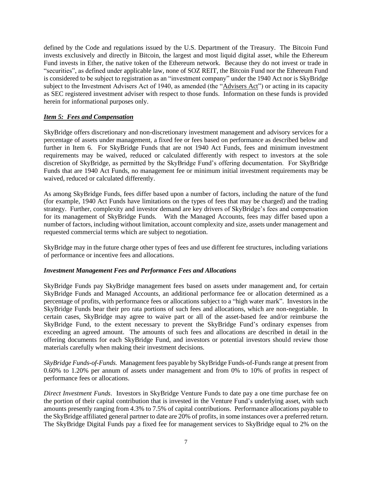defined by the Code and regulations issued by the U.S. Department of the Treasury. The Bitcoin Fund invests exclusively and directly in Bitcoin, the largest and most liquid digital asset, while the Ethereum Fund invests in Ether, the native token of the Ethereum network. Because they do not invest or trade in "securities", as defined under applicable law, none of SOZ REIT, the Bitcoin Fund nor the Ethereum Fund is considered to be subject to registration as an "investment company" under the 1940 Act nor is SkyBridge subject to the Investment Advisers Act of 1940, as amended (the "Advisers Act") or acting in its capacity as SEC registered investment adviser with respect to those funds. Information on these funds is provided herein for informational purposes only.

## <span id="page-6-0"></span>*Item 5: Fees and Compensation*

SkyBridge offers discretionary and non-discretionary investment management and advisory services for a percentage of assets under management, a fixed fee or fees based on performance as described below and further in Item 6. For SkyBridge Funds that are not 1940 Act Funds, fees and minimum investment requirements may be waived, reduced or calculated differently with respect to investors at the sole discretion of SkyBridge, as permitted by the SkyBridge Fund's offering documentation. For SkyBridge Funds that are 1940 Act Funds, no management fee or minimum initial investment requirements may be waived, reduced or calculated differently.

As among SkyBridge Funds, fees differ based upon a number of factors, including the nature of the fund (for example, 1940 Act Funds have limitations on the types of fees that may be charged) and the trading strategy. Further, complexity and investor demand are key drivers of SkyBridge's fees and compensation for its management of SkyBridge Funds. With the Managed Accounts, fees may differ based upon a number of factors, including without limitation, account complexity and size, assets under management and requested commercial terms which are subject to negotiation.

SkyBridge may in the future charge other types of fees and use different fee structures, including variations of performance or incentive fees and allocations.

#### *Investment Management Fees and Performance Fees and Allocations*

SkyBridge Funds pay SkyBridge management fees based on assets under management and, for certain SkyBridge Funds and Managed Accounts, an additional performance fee or allocation determined as a percentage of profits, with performance fees or allocations subject to a "high water mark". Investors in the SkyBridge Funds bear their pro rata portions of such fees and allocations, which are non-negotiable. In certain cases, SkyBridge may agree to waive part or all of the asset-based fee and/or reimburse the SkyBridge Fund, to the extent necessary to prevent the SkyBridge Fund's ordinary expenses from exceeding an agreed amount. The amounts of such fees and allocations are described in detail in the offering documents for each SkyBridge Fund, and investors or potential investors should review those materials carefully when making their investment decisions.

*SkyBridge Funds-of-Funds.* Management fees payable by SkyBridge Funds-of-Funds range at present from 0.60% to 1.20% per annum of assets under management and from 0% to 10% of profits in respect of performance fees or allocations.

*Direct Investment Funds*. Investors in SkyBridge Venture Funds to date pay a one time purchase fee on the portion of their capital contribution that is invested in the Venture Fund's underlying asset, with such amounts presently ranging from 4.3% to 7.5% of capital contributions. Performance allocations payable to the SkyBridge affiliated general partner to date are 20% of profits, in some instances over a preferred return. The SkyBridge Digital Funds pay a fixed fee for management services to SkyBridge equal to 2% on the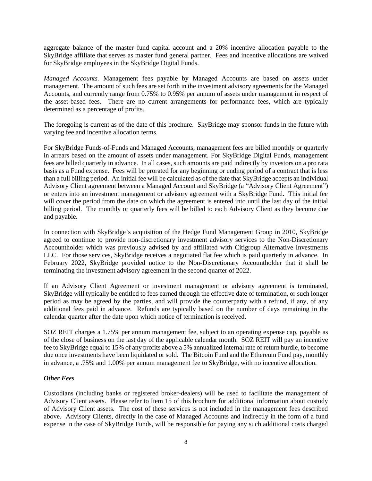aggregate balance of the master fund capital account and a 20% incentive allocation payable to the SkyBridge affiliate that serves as master fund general partner. Fees and incentive allocations are waived for SkyBridge employees in the SkyBridge Digital Funds.

*Managed Accounts.* Management fees payable by Managed Accounts are based on assets under management. The amount of such fees are set forth in the investment advisory agreements for the Managed Accounts, and currently range from 0.75% to 0.95% per annum of assets under management in respect of the asset-based fees. There are no current arrangements for performance fees, which are typically determined as a percentage of profits.

The foregoing is current as of the date of this brochure. SkyBridge may sponsor funds in the future with varying fee and incentive allocation terms.

For SkyBridge Funds-of-Funds and Managed Accounts, management fees are billed monthly or quarterly in arrears based on the amount of assets under management. For SkyBridge Digital Funds, management fees are billed quarterly in advance. In all cases, such amounts are paid indirectly by investors on a pro rata basis as a Fund expense. Fees will be prorated for any beginning or ending period of a contract that is less than a full billing period. An initial fee will be calculated as of the date that SkyBridge accepts an individual Advisory Client agreement between a Managed Account and SkyBridge (a "Advisory Client Agreement") or enters into an investment management or advisory agreement with a SkyBridge Fund. This initial fee will cover the period from the date on which the agreement is entered into until the last day of the initial billing period. The monthly or quarterly fees will be billed to each Advisory Client as they become due and payable.

In connection with SkyBridge's acquisition of the Hedge Fund Management Group in 2010, SkyBridge agreed to continue to provide non-discretionary investment advisory services to the Non-Discretionary Accountholder which was previously advised by and affiliated with Citigroup Alternative Investments LLC. For those services, SkyBridge receives a negotiated flat fee which is paid quarterly in advance. In February 2022, SkyBridge provided notice to the Non-Discretionary Accountholder that it shall be terminating the investment advisory agreement in the second quarter of 2022.

If an Advisory Client Agreement or investment management or advisory agreement is terminated, SkyBridge will typically be entitled to fees earned through the effective date of termination, or such longer period as may be agreed by the parties, and will provide the counterparty with a refund, if any, of any additional fees paid in advance. Refunds are typically based on the number of days remaining in the calendar quarter after the date upon which notice of termination is received.

SOZ REIT charges a 1.75% per annum management fee, subject to an operating expense cap, payable as of the close of business on the last day of the applicable calendar month. SOZ REIT will pay an incentive fee to SkyBridge equal to 15% of any profits above a 5% annualized internal rate of return hurdle, to become due once investments have been liquidated or sold. The Bitcoin Fund and the Ethereum Fund pay, monthly in advance, a .75% and 1.00% per annum management fee to SkyBridge, with no incentive allocation.

#### *Other Fees*

Custodians (including banks or registered broker-dealers) will be used to facilitate the management of Advisory Client assets. Please refer to Item 15 of this brochure for additional information about custody of Advisory Client assets. The cost of these services is not included in the management fees described above. Advisory Clients, directly in the case of Managed Accounts and indirectly in the form of a fund expense in the case of SkyBridge Funds, will be responsible for paying any such additional costs charged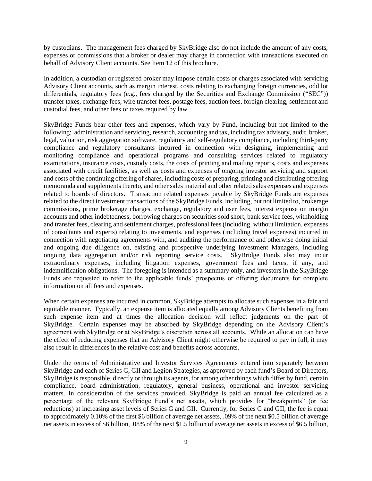by custodians. The management fees charged by SkyBridge also do not include the amount of any costs, expenses or commissions that a broker or dealer may charge in connection with transactions executed on behalf of Advisory Client accounts. See Item 12 of this brochure.

In addition, a custodian or registered broker may impose certain costs or charges associated with servicing Advisory Client accounts, such as margin interest, costs relating to exchanging foreign currencies, odd lot differentials, regulatory fees (e.g., fees charged by the Securities and Exchange Commission ("SEC")) transfer taxes, exchange fees, wire transfer fees, postage fees, auction fees, foreign clearing, settlement and custodial fees, and other fees or taxes required by law.

SkyBridge Funds bear other fees and expenses, which vary by Fund, including but not limited to the following: administration and servicing, research, accounting and tax, including tax advisory, audit, broker, legal, valuation, risk aggregation software, regulatory and self-regulatory compliance, including third-party compliance and regulatory consultants incurred in connection with designing, implementing and monitoring compliance and operational programs and consulting services related to regulatory examinations, insurance costs, custody costs, the costs of printing and mailing reports, costs and expenses associated with credit facilities, as well as costs and expenses of ongoing investor servicing and support and costs of the continuing offering of shares, including costs of preparing, printing and distributing offering memoranda and supplements thereto, and other sales material and other related sales expenses and expenses related to boards of directors. Transaction related expenses payable by SkyBridge Funds are expenses related to the direct investment transactions of the SkyBridge Funds, including, but not limited to, brokerage commissions, prime brokerage charges, exchange, regulatory and user fees, interest expense on margin accounts and other indebtedness, borrowing charges on securities sold short, bank service fees, withholding and transfer fees, clearing and settlement charges, professional fees (including, without limitation, expenses of consultants and experts) relating to investments, and expenses (including travel expenses) incurred in connection with negotiating agreements with, and auditing the performance of and otherwise doing initial and ongoing due diligence on, existing and prospective underlying Investment Managers, including ongoing data aggregation and/or risk reporting service costs. SkyBridge Funds also may incur extraordinary expenses, including litigation expenses, government fees and taxes, if any, and indemnification obligations. The foregoing is intended as a summary only, and investors in the SkyBridge Funds are requested to refer to the applicable funds' prospectus or offering documents for complete information on all fees and expenses.

When certain expenses are incurred in common, SkyBridge attempts to allocate such expenses in a fair and equitable manner. Typically, an expense item is allocated equally among Advisory Clients benefiting from such expense item and at times the allocation decision will reflect judgments on the part of SkyBridge. Certain expenses may be absorbed by SkyBridge depending on the Advisory Client's agreement with SkyBridge or at SkyBridge's discretion across all accounts. While an allocation can have the effect of reducing expenses that an Advisory Client might otherwise be required to pay in full, it may also result in differences in the relative cost and benefits across accounts.

Under the terms of Administrative and Investor Services Agreements entered into separately between SkyBridge and each of Series G, GII and Legion Strategies, as approved by each fund's Board of Directors, SkyBridge is responsible, directly or through its agents, for among other things which differ by fund, certain compliance, board administration, regulatory, general business, operational and investor servicing matters. In consideration of the services provided, SkyBridge is paid an annual fee calculated as a percentage of the relevant SkyBridge Fund's net assets, which provides for "breakpoints" (or fee reductions) at increasing asset levels of Series G and GII. Currently, for Series G and GII, the fee is equal to approximately 0.10% of the first \$6 billion of average net assets, .09% of the next \$0.5 billion of average net assets in excess of \$6 billion, .08% of the next \$1.5 billion of average net assets in excess of \$6.5 billion,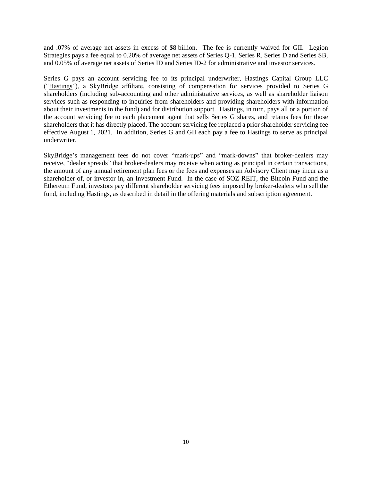and .07% of average net assets in excess of \$8 billion. The fee is currently waived for GII. Legion Strategies pays a fee equal to 0.20% of average net assets of Series Q-1, Series R, Series D and Series SB, and 0.05% of average net assets of Series ID and Series ID-2 for administrative and investor services.

Series G pays an account servicing fee to its principal underwriter, Hastings Capital Group LLC ("Hastings"), a SkyBridge affiliate, consisting of compensation for services provided to Series G shareholders (including sub-accounting and other administrative services, as well as shareholder liaison services such as responding to inquiries from shareholders and providing shareholders with information about their investments in the fund) and for distribution support. Hastings, in turn, pays all or a portion of the account servicing fee to each placement agent that sells Series G shares, and retains fees for those shareholders that it has directly placed. The account servicing fee replaced a prior shareholder servicing fee effective August 1, 2021. In addition, Series G and GII each pay a fee to Hastings to serve as principal underwriter.

SkyBridge's management fees do not cover "mark-ups" and "mark-downs" that broker-dealers may receive, "dealer spreads" that broker-dealers may receive when acting as principal in certain transactions, the amount of any annual retirement plan fees or the fees and expenses an Advisory Client may incur as a shareholder of, or investor in, an Investment Fund. In the case of SOZ REIT, the Bitcoin Fund and the Ethereum Fund, investors pay different shareholder servicing fees imposed by broker-dealers who sell the fund, including Hastings, as described in detail in the offering materials and subscription agreement.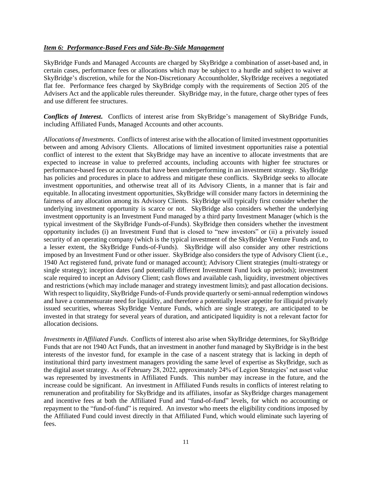#### <span id="page-10-0"></span>*Item 6: Performance-Based Fees and Side-By-Side Management*

SkyBridge Funds and Managed Accounts are charged by SkyBridge a combination of asset-based and, in certain cases, performance fees or allocations which may be subject to a hurdle and subject to waiver at SkyBridge's discretion, while for the Non-Discretionary Accountholder, SkyBridge receives a negotiated flat fee. Performance fees charged by SkyBridge comply with the requirements of Section 205 of the Advisers Act and the applicable rules thereunder. SkyBridge may, in the future, charge other types of fees and use different fee structures.

*Conflicts of Interest***.** Conflicts of interest arise from SkyBridge's management of SkyBridge Funds, including Affiliated Funds, Managed Accounts and other accounts.

*Allocations of Investments*. Conflicts of interest arise with the allocation of limited investment opportunities between and among Advisory Clients. Allocations of limited investment opportunities raise a potential conflict of interest to the extent that SkyBridge may have an incentive to allocate investments that are expected to increase in value to preferred accounts, including accounts with higher fee structures or performance-based fees or accounts that have been underperforming in an investment strategy. SkyBridge has policies and procedures in place to address and mitigate these conflicts. SkyBridge seeks to allocate investment opportunities, and otherwise treat all of its Advisory Clients, in a manner that is fair and equitable. In allocating investment opportunities, SkyBridge will consider many factors in determining the fairness of any allocation among its Advisory Clients. SkyBridge will typically first consider whether the underlying investment opportunity is scarce or not. SkyBridge also considers whether the underlying investment opportunity is an Investment Fund managed by a third party Investment Manager (which is the typical investment of the SkyBridge Funds-of-Funds). SkyBridge then considers whether the investment opportunity includes (i) an Investment Fund that is closed to "new investors" or (ii) a privately issued security of an operating company (which is the typical investment of the SkyBridge Venture Funds and, to a lesser extent, the SkyBridge Funds-of-Funds). SkyBridge will also consider any other restrictions imposed by an Investment Fund or other issuer. SkyBridge also considers the type of Advisory Client (i.e., 1940 Act registered fund, private fund or managed account); Advisory Client strategies (multi-strategy or single strategy); inception dates (and potentially different Investment Fund lock up periods); investment scale required to incept an Advisory Client; cash flows and available cash, liquidity, investment objectives and restrictions (which may include manager and strategy investment limits); and past allocation decisions. With respect to liquidity, SkyBridge Funds-of-Funds provide quarterly or semi-annual redemption windows and have a commensurate need for liquidity, and therefore a potentially lesser appetite for illiquid privately issued securities, whereas SkyBridge Venture Funds, which are single strategy, are anticipated to be invested in that strategy for several years of duration, and anticipated liquidity is not a relevant factor for allocation decisions.

*Investments in Affiliated Funds*. Conflicts of interest also arise when SkyBridge determines, for SkyBridge Funds that are not 1940 Act Funds, that an investment in another fund managed by SkyBridge is in the best interests of the investor fund, for example in the case of a nascent strategy that is lacking in depth of institutional third party investment managers providing the same level of expertise as SkyBridge, such as the digital asset strategy. As of February 28, 2022, approximately 24% of Legion Strategies' net asset value was represented by investments in Affiliated Funds. This number may increase in the future, and the increase could be significant. An investment in Affiliated Funds results in conflicts of interest relating to remuneration and profitability for SkyBridge and its affiliates, insofar as SkyBridge charges management and incentive fees at both the Affiliated Fund and "fund-of-fund" levels, for which no accounting or repayment to the "fund-of-fund" is required. An investor who meets the eligibility conditions imposed by the Affiliated Fund could invest directly in that Affiliated Fund, which would eliminate such layering of fees.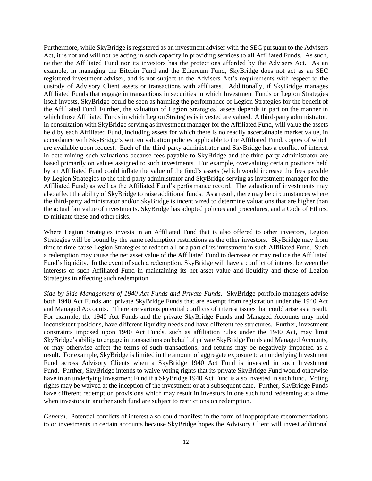Furthermore, while SkyBridge is registered as an investment adviser with the SEC pursuant to the Advisers Act, it is not and will not be acting in such capacity in providing services to all Affiliated Funds. As such, neither the Affiliated Fund nor its investors has the protections afforded by the Advisers Act. As an example, in managing the Bitcoin Fund and the Ethereum Fund, SkyBridge does not act as an SEC registered investment adviser, and is not subject to the Advisers Act's requirements with respect to the custody of Advisory Client assets or transactions with affiliates. Additionally, if SkyBridge manages Affiliated Funds that engage in transactions in securities in which Investment Funds or Legion Strategies itself invests, SkyBridge could be seen as harming the performance of Legion Strategies for the benefit of the Affiliated Fund. Further, the valuation of Legion Strategies' assets depends in part on the manner in which those Affiliated Funds in which Legion Strategies is invested are valued. A third-party administrator, in consultation with SkyBridge serving as investment manager for the Affiliated Fund, will value the assets held by each Affiliated Fund, including assets for which there is no readily ascertainable market value, in accordance with SkyBridge's written valuation policies applicable to the Affiliated Fund, copies of which are available upon request. Each of the third-party administrator and SkyBridge has a conflict of interest in determining such valuations because fees payable to SkyBridge and the third-party administrator are based primarily on values assigned to such investments. For example, overvaluing certain positions held by an Affiliated Fund could inflate the value of the fund's assets (which would increase the fees payable by Legion Strategies to the third-party administrator and SkyBridge serving as investment manager for the Affiliated Fund) as well as the Affiliated Fund's performance record. The valuation of investments may also affect the ability of SkyBridge to raise additional funds. As a result, there may be circumstances where the third-party administrator and/or SkyBridge is incentivized to determine valuations that are higher than the actual fair value of investments. SkyBridge has adopted policies and procedures, and a Code of Ethics, to mitigate these and other risks.

Where Legion Strategies invests in an Affiliated Fund that is also offered to other investors, Legion Strategies will be bound by the same redemption restrictions as the other investors. SkyBridge may from time to time cause Legion Strategies to redeem all or a part of its investment in such Affiliated Fund. Such a redemption may cause the net asset value of the Affiliated Fund to decrease or may reduce the Affiliated Fund's liquidity. In the event of such a redemption, SkyBridge will have a conflict of interest between the interests of such Affiliated Fund in maintaining its net asset value and liquidity and those of Legion Strategies in effecting such redemption.

*Side-by-Side Management of 1940 Act Funds and Private Funds*. SkyBridge portfolio managers advise both 1940 Act Funds and private SkyBridge Funds that are exempt from registration under the 1940 Act and Managed Accounts. There are various potential conflicts of interest issues that could arise as a result. For example, the 1940 Act Funds and the private SkyBridge Funds and Managed Accounts may hold inconsistent positions, have different liquidity needs and have different fee structures. Further, investment constraints imposed upon 1940 Act Funds, such as affiliation rules under the 1940 Act, may limit SkyBridge's ability to engage in transactions on behalf of private SkyBridge Funds and Managed Accounts, or may otherwise affect the terms of such transactions, and returns may be negatively impacted as a result. For example, SkyBridge is limited in the amount of aggregate exposure to an underlying Investment Fund across Advisory Clients when a SkyBridge 1940 Act Fund is invested in such Investment Fund. Further, SkyBridge intends to waive voting rights that its private SkyBridge Fund would otherwise have in an underlying Investment Fund if a SkyBridge 1940 Act Fund is also invested in such fund. Voting rights may be waived at the inception of the investment or at a subsequent date. Further, SkyBridge Funds have different redemption provisions which may result in investors in one such fund redeeming at a time when investors in another such fund are subject to restrictions on redemption.

*General*. Potential conflicts of interest also could manifest in the form of inappropriate recommendations to or investments in certain accounts because SkyBridge hopes the Advisory Client will invest additional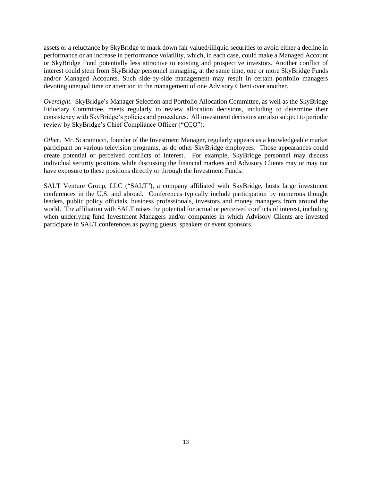assets or a reluctance by SkyBridge to mark down fair valued/illiquid securities to avoid either a decline in performance or an increase in performance volatility, which, in each case, could make a Managed Account or SkyBridge Fund potentially less attractive to existing and prospective investors. Another conflict of interest could stem from SkyBridge personnel managing, at the same time, one or more SkyBridge Funds and/or Managed Accounts. Such side-by-side management may result in certain portfolio managers devoting unequal time or attention to the management of one Advisory Client over another.

*Oversight*. SkyBridge's Manager Selection and Portfolio Allocation Committee, as well as the SkyBridge Fiduciary Committee, meets regularly to review allocation decisions, including to determine their consistency with SkyBridge's policies and procedures. All investment decisions are also subject to periodic review by SkyBridge's Chief Compliance Officer ("CCO").

*Other*. Mr. Scaramucci, founder of the Investment Manager, regularly appears as a knowledgeable market participant on various television programs, as do other SkyBridge employees. Those appearances could create potential or perceived conflicts of interest. For example, SkyBridge personnel may discuss individual security positions while discussing the financial markets and Advisory Clients may or may not have exposure to these positions directly or through the Investment Funds.

SALT Venture Group, LLC ("SALT"), a company affiliated with SkyBridge, hosts large investment conferences in the U.S. and abroad. Conferences typically include participation by numerous thought leaders, public policy officials, business professionals, investors and money managers from around the world. The affiliation with SALT raises the potential for actual or perceived conflicts of interest, including when underlying fund Investment Managers and/or companies in which Advisory Clients are invested participate in SALT conferences as paying guests, speakers or event sponsors.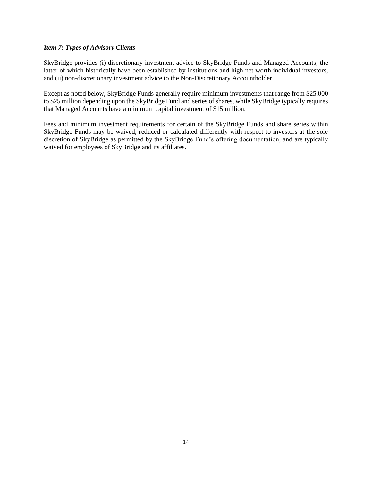## <span id="page-13-0"></span>*Item 7: Types of Advisory Clients*

SkyBridge provides (i) discretionary investment advice to SkyBridge Funds and Managed Accounts, the latter of which historically have been established by institutions and high net worth individual investors, and (ii) non-discretionary investment advice to the Non-Discretionary Accountholder.

Except as noted below, SkyBridge Funds generally require minimum investments that range from \$25,000 to \$25 million depending upon the SkyBridge Fund and series of shares, while SkyBridge typically requires that Managed Accounts have a minimum capital investment of \$15 million.

Fees and minimum investment requirements for certain of the SkyBridge Funds and share series within SkyBridge Funds may be waived, reduced or calculated differently with respect to investors at the sole discretion of SkyBridge as permitted by the SkyBridge Fund's offering documentation, and are typically waived for employees of SkyBridge and its affiliates.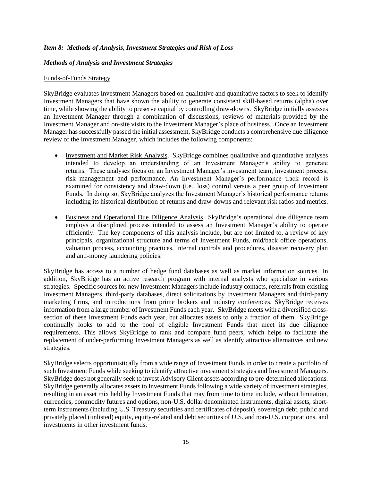## <span id="page-14-0"></span>*Item 8: Methods of Analysis, Investment Strategies and Risk of Loss*

#### *Methods of Analysis and Investment Strategies*

#### Funds-of-Funds Strategy

SkyBridge evaluates Investment Managers based on qualitative and quantitative factors to seek to identify Investment Managers that have shown the ability to generate consistent skill-based returns (alpha) over time, while showing the ability to preserve capital by controlling draw-downs. SkyBridge initially assesses an Investment Manager through a combination of discussions, reviews of materials provided by the Investment Manager and on-site visits to the Investment Manager's place of business. Once an Investment Manager has successfully passed the initial assessment, SkyBridge conducts a comprehensive due diligence review of the Investment Manager, which includes the following components:

- Investment and Market Risk Analysis. SkyBridge combines qualitative and quantitative analyses intended to develop an understanding of an Investment Manager's ability to generate returns. These analyses focus on an Investment Manager's investment team, investment process, risk management and performance. An Investment Manager's performance track record is examined for consistency and draw-down (i.e., loss) control versus a peer group of Investment Funds. In doing so, SkyBridge analyzes the Investment Manager's historical performance returns including its historical distribution of returns and draw-downs and relevant risk ratios and metrics.
- Business and Operational Due Diligence Analysis. SkyBridge's operational due diligence team employs a disciplined process intended to assess an Investment Manager's ability to operate efficiently. The key components of this analysis include, but are not limited to, a review of key principals, organizational structure and terms of Investment Funds, mid/back office operations, valuation process, accounting practices, internal controls and procedures, disaster recovery plan and anti-money laundering policies.

SkyBridge has access to a number of hedge fund databases as well as market information sources. In addition, SkyBridge has an active research program with internal analysts who specialize in various strategies. Specific sources for new Investment Managers include industry contacts, referrals from existing Investment Managers, third-party databases, direct solicitations by Investment Managers and third-party marketing firms, and introductions from prime brokers and industry conferences. SkyBridge receives information from a large number of Investment Funds each year. SkyBridge meets with a diversified crosssection of these Investment Funds each year, but allocates assets to only a fraction of them. SkyBridge continually looks to add to the pool of eligible Investment Funds that meet its due diligence requirements. This allows SkyBridge to rank and compare fund peers, which helps to facilitate the replacement of under-performing Investment Managers as well as identify attractive alternatives and new strategies.

SkyBridge selects opportunistically from a wide range of Investment Funds in order to create a portfolio of such Investment Funds while seeking to identify attractive investment strategies and Investment Managers. SkyBridge does not generally seek to invest Advisory Client assets according to pre-determined allocations. SkyBridge generally allocates assets to Investment Funds following a wide variety of investment strategies, resulting in an asset mix held by Investment Funds that may from time to time include, without limitation, currencies, commodity futures and options, non-U.S. dollar denominated instruments, digital assets, shortterm instruments (including U.S. Treasury securities and certificates of deposit), sovereign debt, public and privately placed (unlisted) equity, equity-related and debt securities of U.S. and non-U.S. corporations, and investments in other investment funds.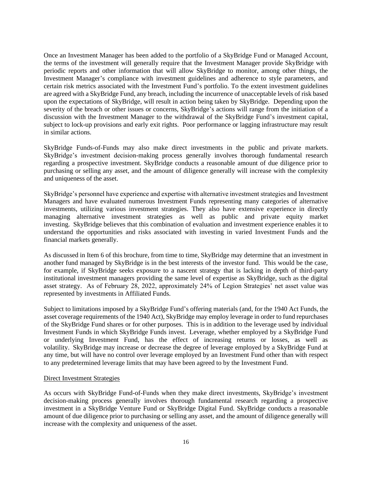Once an Investment Manager has been added to the portfolio of a SkyBridge Fund or Managed Account, the terms of the investment will generally require that the Investment Manager provide SkyBridge with periodic reports and other information that will allow SkyBridge to monitor, among other things, the Investment Manager's compliance with investment guidelines and adherence to style parameters, and certain risk metrics associated with the Investment Fund's portfolio. To the extent investment guidelines are agreed with a SkyBridge Fund, any breach, including the incurrence of unacceptable levels of risk based upon the expectations of SkyBridge, will result in action being taken by SkyBridge. Depending upon the severity of the breach or other issues or concerns, SkyBridge's actions will range from the initiation of a discussion with the Investment Manager to the withdrawal of the SkyBridge Fund's investment capital, subject to lock-up provisions and early exit rights. Poor performance or lagging infrastructure may result in similar actions.

SkyBridge Funds-of-Funds may also make direct investments in the public and private markets. SkyBridge's investment decision-making process generally involves thorough fundamental research regarding a prospective investment. SkyBridge conducts a reasonable amount of due diligence prior to purchasing or selling any asset, and the amount of diligence generally will increase with the complexity and uniqueness of the asset.

SkyBridge's personnel have experience and expertise with alternative investment strategies and Investment Managers and have evaluated numerous Investment Funds representing many categories of alternative investments, utilizing various investment strategies. They also have extensive experience in directly managing alternative investment strategies as well as public and private equity market investing. SkyBridge believes that this combination of evaluation and investment experience enables it to understand the opportunities and risks associated with investing in varied Investment Funds and the financial markets generally.

As discussed in Item 6 of this brochure, from time to time, SkyBridge may determine that an investment in another fund managed by SkyBridge is in the best interests of the investor fund. This would be the case, for example, if SkyBridge seeks exposure to a nascent strategy that is lacking in depth of third-party institutional investment managers providing the same level of expertise as SkyBridge, such as the digital asset strategy. As of February 28, 2022, approximately 24% of Legion Strategies' net asset value was represented by investments in Affiliated Funds.

Subject to limitations imposed by a SkyBridge Fund's offering materials (and, for the 1940 Act Funds, the asset coverage requirements of the 1940 Act), SkyBridge may employ leverage in order to fund repurchases of the SkyBridge Fund shares or for other purposes. This is in addition to the leverage used by individual Investment Funds in which SkyBridge Funds invest. Leverage, whether employed by a SkyBridge Fund or underlying Investment Fund, has the effect of increasing returns or losses, as well as volatility. SkyBridge may increase or decrease the degree of leverage employed by a SkyBridge Fund at any time, but will have no control over leverage employed by an Investment Fund other than with respect to any predetermined leverage limits that may have been agreed to by the Investment Fund.

#### Direct Investment Strategies

As occurs with SkyBridge Fund-of-Funds when they make direct investments, SkyBridge's investment decision-making process generally involves thorough fundamental research regarding a prospective investment in a SkyBridge Venture Fund or SkyBridge Digital Fund. SkyBridge conducts a reasonable amount of due diligence prior to purchasing or selling any asset, and the amount of diligence generally will increase with the complexity and uniqueness of the asset.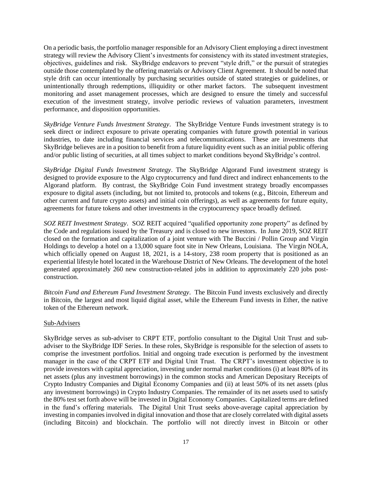On a periodic basis, the portfolio manager responsible for an Advisory Client employing a direct investment strategy will review the Advisory Client's investments for consistency with its stated investment strategies, objectives, guidelines and risk. SkyBridge endeavors to prevent "style drift," or the pursuit of strategies outside those contemplated by the offering materials or Advisory Client Agreement. It should be noted that style drift can occur intentionally by purchasing securities outside of stated strategies or guidelines, or unintentionally through redemptions, illiquidity or other market factors. The subsequent investment monitoring and asset management processes, which are designed to ensure the timely and successful execution of the investment strategy, involve periodic reviews of valuation parameters, investment performance, and disposition opportunities.

*SkyBridge Venture Funds Investment Strategy*. The SkyBridge Venture Funds investment strategy is to seek direct or indirect exposure to private operating companies with future growth potential in various industries, to date including financial services and telecommunications. These are investments that SkyBridge believes are in a position to benefit from a future liquidity event such as an initial public offering and/or public listing of securities, at all times subject to market conditions beyond SkyBridge's control.

*SkyBridge Digital Funds Investment Strategy*. The SkyBridge Algorand Fund investment strategy is designed to provide exposure to the Algo cryptocurrency and fund direct and indirect enhancements to the Algorand platform. By contrast, the SkyBridge Coin Fund investment strategy broadly encompasses exposure to digital assets (including, but not limited to, protocols and tokens (e.g., Bitcoin, Ethereum and other current and future crypto assets) and initial coin offerings), as well as agreements for future equity, agreements for future tokens and other investments in the cryptocurrency space broadly defined.

*SOZ REIT Investment Strategy*. SOZ REIT acquired "qualified opportunity zone property" as defined by the Code and regulations issued by the Treasury and is closed to new investors. In June 2019, SOZ REIT closed on the formation and capitalization of a joint venture with The Buccini / Pollin Group and Virgin Holdings to develop a hotel on a 13,000 square foot site in New Orleans, Louisiana. The Virgin NOLA, which officially opened on August 18, 2021, is a 14-story, 238 room property that is positioned as an experiential lifestyle hotel located in the Warehouse District of New Orleans. The development of the hotel generated approximately 260 new construction-related jobs in addition to approximately 220 jobs postconstruction.

*Bitcoin Fund and Ethereum Fund Investment Strategy*. The Bitcoin Fund invests exclusively and directly in Bitcoin, the largest and most liquid digital asset, while the Ethereum Fund invests in Ether, the native token of the Ethereum network.

#### Sub-Advisers

SkyBridge serves as sub-adviser to CRPT ETF, portfolio consultant to the Digital Unit Trust and subadviser to the SkyBridge IDF Series. In these roles, SkyBridge is responsible for the selection of assets to comprise the investment portfolios. Initial and ongoing trade execution is performed by the investment manager in the case of the CRPT ETF and Digital Unit Trust. The CRPT's investment objective is to provide investors with capital appreciation, investing under normal market conditions (i) at least 80% of its net assets (plus any investment borrowings) in the common stocks and American Depositary Receipts of Crypto Industry Companies and Digital Economy Companies and (ii) at least 50% of its net assets (plus any investment borrowings) in Crypto Industry Companies. The remainder of its net assets used to satisfy the 80% test set forth above will be invested in Digital Economy Companies. Capitalized terms are defined in the fund's offering materials. The Digital Unit Trust seeks above-average capital appreciation by investing in companies involved in digital innovation and those that are closely correlated with digital assets (including Bitcoin) and blockchain. The portfolio will not directly invest in Bitcoin or other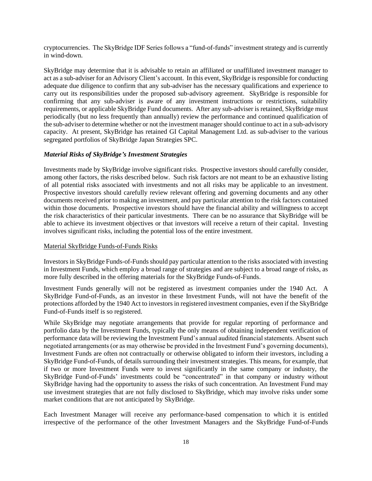cryptocurrencies. The SkyBridge IDF Series follows a "fund-of-funds" investment strategy and is currently in wind-down.

SkyBridge may determine that it is advisable to retain an affiliated or unaffiliated investment manager to act as a sub-adviser for an Advisory Client's account. In this event, SkyBridge is responsible for conducting adequate due diligence to confirm that any sub-adviser has the necessary qualifications and experience to carry out its responsibilities under the proposed sub-advisory agreement. SkyBridge is responsible for confirming that any sub-adviser is aware of any investment instructions or restrictions, suitability requirements, or applicable SkyBridge Fund documents. After any sub-adviser is retained, SkyBridge must periodically (but no less frequently than annually) review the performance and continued qualification of the sub-adviser to determine whether or not the investment manager should continue to act in a sub-advisory capacity. At present, SkyBridge has retained GI Capital Management Ltd. as sub-adviser to the various segregated portfolios of SkyBridge Japan Strategies SPC.

### *Material Risks of SkyBridge's Investment Strategies*

Investments made by SkyBridge involve significant risks. Prospective investors should carefully consider, among other factors, the risks described below. Such risk factors are not meant to be an exhaustive listing of all potential risks associated with investments and not all risks may be applicable to an investment. Prospective investors should carefully review relevant offering and governing documents and any other documents received prior to making an investment, and pay particular attention to the risk factors contained within those documents. Prospective investors should have the financial ability and willingness to accept the risk characteristics of their particular investments. There can be no assurance that SkyBridge will be able to achieve its investment objectives or that investors will receive a return of their capital. Investing involves significant risks, including the potential loss of the entire investment.

#### Material SkyBridge Funds-of-Funds Risks

Investors in SkyBridge Funds-of-Funds should pay particular attention to the risks associated with investing in Investment Funds, which employ a broad range of strategies and are subject to a broad range of risks, as more fully described in the offering materials for the SkyBridge Funds-of-Funds.

Investment Funds generally will not be registered as investment companies under the 1940 Act. A SkyBridge Fund-of-Funds, as an investor in these Investment Funds, will not have the benefit of the protections afforded by the 1940 Act to investors in registered investment companies, even if the SkyBridge Fund-of-Funds itself is so registered.

While SkyBridge may negotiate arrangements that provide for regular reporting of performance and portfolio data by the Investment Funds, typically the only means of obtaining independent verification of performance data will be reviewing the Investment Fund's annual audited financial statements. Absent such negotiated arrangements (or as may otherwise be provided in the Investment Fund's governing documents), Investment Funds are often not contractually or otherwise obligated to inform their investors, including a SkyBridge Fund-of-Funds, of details surrounding their investment strategies. This means, for example, that if two or more Investment Funds were to invest significantly in the same company or industry, the SkyBridge Fund-of-Funds' investments could be "concentrated" in that company or industry without SkyBridge having had the opportunity to assess the risks of such concentration. An Investment Fund may use investment strategies that are not fully disclosed to SkyBridge, which may involve risks under some market conditions that are not anticipated by SkyBridge.

Each Investment Manager will receive any performance-based compensation to which it is entitled irrespective of the performance of the other Investment Managers and the SkyBridge Fund-of-Funds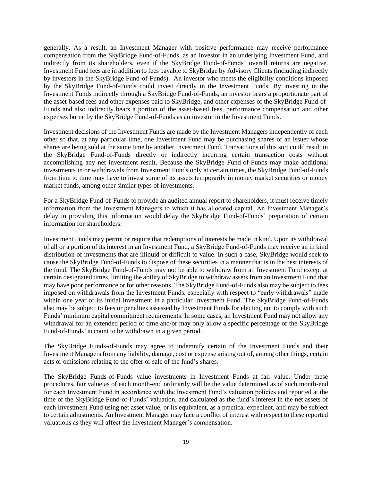generally. As a result, an Investment Manager with positive performance may receive performance compensation from the SkyBridge Fund-of-Funds, as an investor in an underlying Investment Fund, and indirectly from its shareholders, even if the SkyBridge Fund-of-Funds' overall returns are negative. Investment Fund fees are in addition to fees payable to SkyBridge by Advisory Clients (including indirectly by investors in the SkyBridge Fund-of-Funds). An investor who meets the eligibility conditions imposed by the SkyBridge Fund-of-Funds could invest directly in the Investment Funds. By investing in the Investment Funds indirectly through a SkyBridge Fund-of-Funds, an investor bears a proportionate part of the asset-based fees and other expenses paid to SkyBridge, and other expenses of the SkyBridge Fund-of-Funds and also indirectly bears a portion of the asset-based fees, performance compensation and other expenses borne by the SkyBridge Fund-of-Funds as an investor in the Investment Funds.

Investment decisions of the Investment Funds are made by the Investment Managers independently of each other so that, at any particular time, one Investment Fund may be purchasing shares of an issuer whose shares are being sold at the same time by another Investment Fund. Transactions of this sort could result in the SkyBridge Fund-of-Funds directly or indirectly incurring certain transaction costs without accomplishing any net investment result. Because the SkyBridge Fund-of-Funds may make additional investments in or withdrawals from Investment Funds only at certain times, the SkyBridge Fund-of-Funds from time to time may have to invest some of its assets temporarily in money market securities or money market funds, among other similar types of investments.

For a SkyBridge Fund-of-Funds to provide an audited annual report to shareholders, it must receive timely information from the Investment Managers to which it has allocated capital. An Investment Manager's delay in providing this information would delay the SkyBridge Fund-of-Funds' preparation of certain information for shareholders.

Investment Funds may permit or require that redemptions of interests be made in kind. Upon its withdrawal of all or a portion of its interest in an Investment Fund, a SkyBridge Fund-of-Funds may receive an in kind distribution of investments that are illiquid or difficult to value. In such a case, SkyBridge would seek to cause the SkyBridge Fund-of-Funds to dispose of these securities in a manner that is in the best interests of the fund. The SkyBridge Fund-of-Funds may not be able to withdraw from an Investment Fund except at certain designated times, limiting the ability of SkyBridge to withdraw assets from an Investment Fund that may have poor performance or for other reasons. The SkyBridge Fund-of-Funds also may be subject to fees imposed on withdrawals from the Investment Funds, especially with respect to "early withdrawals" made within one year of its initial investment in a particular Investment Fund. The SkyBridge Fund-of-Funds also may be subject to fees or penalties assessed by Investment Funds for electing not to comply with such Funds' minimum capital commitment requirements. In some cases, an Investment Fund may not allow any withdrawal for an extended period of time and/or may only allow a specific percentage of the SkyBridge Fund-of-Funds' account to be withdrawn in a given period.

The SkyBridge Funds-of-Funds may agree to indemnify certain of the Investment Funds and their Investment Managers from any liability, damage, cost or expense arising out of, among other things, certain acts or omissions relating to the offer or sale of the fund's shares.

The SkyBridge Funds-of-Funds value investments in Investment Funds at fair value. Under these procedures, fair value as of each month-end ordinarily will be the value determined as of such month-end for each Investment Fund in accordance with the Investment Fund's valuation policies and reported at the time of the SkyBridge Fund-of-Funds' valuation, and calculated as the fund's interest in the net assets of each Investment Fund using net asset value, or its equivalent, as a practical expedient, and may be subject to certain adjustments. An Investment Manager may face a conflict of interest with respect to these reported valuations as they will affect the Investment Manager's compensation.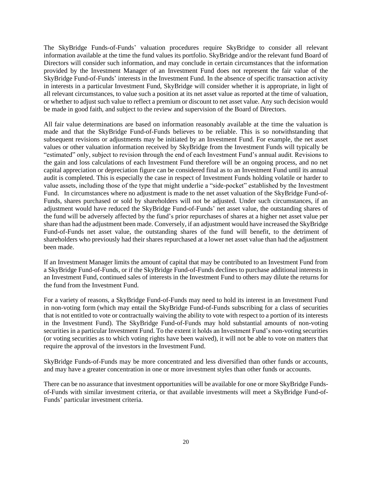The SkyBridge Funds-of-Funds' valuation procedures require SkyBridge to consider all relevant information available at the time the fund values its portfolio. SkyBridge and/or the relevant fund Board of Directors will consider such information, and may conclude in certain circumstances that the information provided by the Investment Manager of an Investment Fund does not represent the fair value of the SkyBridge Fund-of-Funds' interests in the Investment Fund. In the absence of specific transaction activity in interests in a particular Investment Fund, SkyBridge will consider whether it is appropriate, in light of all relevant circumstances, to value such a position at its net asset value as reported at the time of valuation, or whether to adjust such value to reflect a premium or discount to net asset value. Any such decision would be made in good faith, and subject to the review and supervision of the Board of Directors.

All fair value determinations are based on information reasonably available at the time the valuation is made and that the SkyBridge Fund-of-Funds believes to be reliable. This is so notwithstanding that subsequent revisions or adjustments may be initiated by an Investment Fund. For example, the net asset values or other valuation information received by SkyBridge from the Investment Funds will typically be "estimated" only, subject to revision through the end of each Investment Fund's annual audit. Revisions to the gain and loss calculations of each Investment Fund therefore will be an ongoing process, and no net capital appreciation or depreciation figure can be considered final as to an Investment Fund until its annual audit is completed. This is especially the case in respect of Investment Funds holding volatile or harder to value assets, including those of the type that might underlie a "side-pocket" established by the Investment Fund. In circumstances where no adjustment is made to the net asset valuation of the SkyBridge Fund-of-Funds, shares purchased or sold by shareholders will not be adjusted. Under such circumstances, if an adjustment would have reduced the SkyBridge Fund-of-Funds' net asset value, the outstanding shares of the fund will be adversely affected by the fund's prior repurchases of shares at a higher net asset value per share than had the adjustment been made. Conversely, if an adjustment would have increased the SkyBridge Fund-of-Funds net asset value, the outstanding shares of the fund will benefit, to the detriment of shareholders who previously had their shares repurchased at a lower net asset value than had the adjustment been made.

If an Investment Manager limits the amount of capital that may be contributed to an Investment Fund from a SkyBridge Fund-of-Funds, or if the SkyBridge Fund-of-Funds declines to purchase additional interests in an Investment Fund, continued sales of interests in the Investment Fund to others may dilute the returns for the fund from the Investment Fund.

For a variety of reasons, a SkyBridge Fund-of-Funds may need to hold its interest in an Investment Fund in non-voting form (which may entail the SkyBridge Fund-of-Funds subscribing for a class of securities that is not entitled to vote or contractually waiving the ability to vote with respect to a portion of its interests in the Investment Fund). The SkyBridge Fund-of-Funds may hold substantial amounts of non-voting securities in a particular Investment Fund. To the extent it holds an Investment Fund's non-voting securities (or voting securities as to which voting rights have been waived), it will not be able to vote on matters that require the approval of the investors in the Investment Fund.

SkyBridge Funds-of-Funds may be more concentrated and less diversified than other funds or accounts, and may have a greater concentration in one or more investment styles than other funds or accounts.

There can be no assurance that investment opportunities will be available for one or more SkyBridge Fundsof-Funds with similar investment criteria, or that available investments will meet a SkyBridge Fund-of-Funds' particular investment criteria.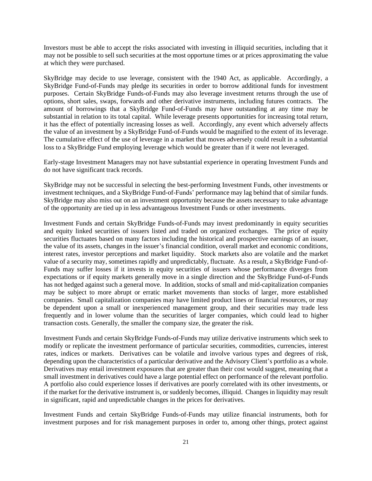Investors must be able to accept the risks associated with investing in illiquid securities, including that it may not be possible to sell such securities at the most opportune times or at prices approximating the value at which they were purchased.

SkyBridge may decide to use leverage, consistent with the 1940 Act, as applicable. Accordingly, a SkyBridge Fund-of-Funds may pledge its securities in order to borrow additional funds for investment purposes. Certain SkyBridge Funds-of-Funds may also leverage investment returns through the use of options, short sales, swaps, forwards and other derivative instruments, including futures contracts. The amount of borrowings that a SkyBridge Fund-of-Funds may have outstanding at any time may be substantial in relation to its total capital. While leverage presents opportunities for increasing total return, it has the effect of potentially increasing losses as well. Accordingly, any event which adversely affects the value of an investment by a SkyBridge Fund-of-Funds would be magnified to the extent of its leverage. The cumulative effect of the use of leverage in a market that moves adversely could result in a substantial loss to a SkyBridge Fund employing leverage which would be greater than if it were not leveraged.

Early-stage Investment Managers may not have substantial experience in operating Investment Funds and do not have significant track records.

SkyBridge may not be successful in selecting the best-performing Investment Funds, other investments or investment techniques, and a SkyBridge Fund-of-Funds' performance may lag behind that of similar funds. SkyBridge may also miss out on an investment opportunity because the assets necessary to take advantage of the opportunity are tied up in less advantageous Investment Funds or other investments.

Investment Funds and certain SkyBridge Funds-of-Funds may invest predominantly in equity securities and equity linked securities of issuers listed and traded on organized exchanges. The price of equity securities fluctuates based on many factors including the historical and prospective earnings of an issuer, the value of its assets, changes in the issuer's financial condition, overall market and economic conditions, interest rates, investor perceptions and market liquidity. Stock markets also are volatile and the market value of a security may, sometimes rapidly and unpredictably, fluctuate. As a result, a SkyBridge Fund-of-Funds may suffer losses if it invests in equity securities of issuers whose performance diverges from expectations or if equity markets generally move in a single direction and the SkyBridge Fund-of-Funds has not hedged against such a general move. In addition, stocks of small and mid-capitalization companies may be subject to more abrupt or erratic market movements than stocks of larger, more established companies. Small capitalization companies may have limited product lines or financial resources, or may be dependent upon a small or inexperienced management group, and their securities may trade less frequently and in lower volume than the securities of larger companies, which could lead to higher transaction costs. Generally, the smaller the company size, the greater the risk.

Investment Funds and certain SkyBridge Funds-of-Funds may utilize derivative instruments which seek to modify or replicate the investment performance of particular securities, commodities, currencies, interest rates, indices or markets. Derivatives can be volatile and involve various types and degrees of risk, depending upon the characteristics of a particular derivative and the Advisory Client's portfolio as a whole. Derivatives may entail investment exposures that are greater than their cost would suggest, meaning that a small investment in derivatives could have a large potential effect on performance of the relevant portfolio. A portfolio also could experience losses if derivatives are poorly correlated with its other investments, or if the market for the derivative instrument is, or suddenly becomes, illiquid. Changes in liquidity may result in significant, rapid and unpredictable changes in the prices for derivatives.

Investment Funds and certain SkyBridge Funds-of-Funds may utilize financial instruments, both for investment purposes and for risk management purposes in order to, among other things, protect against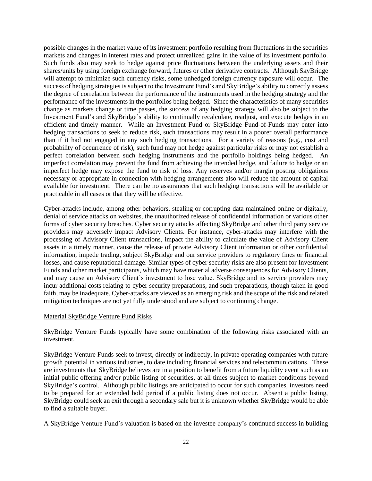possible changes in the market value of its investment portfolio resulting from fluctuations in the securities markets and changes in interest rates and protect unrealized gains in the value of its investment portfolio. Such funds also may seek to hedge against price fluctuations between the underlying assets and their shares/units by using foreign exchange forward, futures or other derivative contracts. Although SkyBridge will attempt to minimize such currency risks, some unhedged foreign currency exposure will occur. The success of hedging strategies is subject to the Investment Fund's and SkyBridge's ability to correctly assess the degree of correlation between the performance of the instruments used in the hedging strategy and the performance of the investments in the portfolios being hedged. Since the characteristics of many securities change as markets change or time passes, the success of any hedging strategy will also be subject to the Investment Fund's and SkyBridge's ability to continually recalculate, readjust, and execute hedges in an efficient and timely manner. While an Investment Fund or SkyBridge Fund-of-Funds may enter into hedging transactions to seek to reduce risk, such transactions may result in a poorer overall performance than if it had not engaged in any such hedging transactions. For a variety of reasons (e.g., cost and probability of occurrence of risk), such fund may not hedge against particular risks or may not establish a perfect correlation between such hedging instruments and the portfolio holdings being hedged. An imperfect correlation may prevent the fund from achieving the intended hedge, and failure to hedge or an imperfect hedge may expose the fund to risk of loss. Any reserves and/or margin posting obligations necessary or appropriate in connection with hedging arrangements also will reduce the amount of capital available for investment. There can be no assurances that such hedging transactions will be available or practicable in all cases or that they will be effective.

Cyber-attacks include, among other behaviors, stealing or corrupting data maintained online or digitally, denial of service attacks on websites, the unauthorized release of confidential information or various other forms of cyber security breaches. Cyber security attacks affecting SkyBridge and other third party service providers may adversely impact Advisory Clients. For instance, cyber-attacks may interfere with the processing of Advisory Client transactions, impact the ability to calculate the value of Advisory Client assets in a timely manner, cause the release of private Advisory Client information or other confidential information, impede trading, subject SkyBridge and our service providers to regulatory fines or financial losses, and cause reputational damage. Similar types of cyber security risks are also present for Investment Funds and other market participants, which may have material adverse consequences for Advisory Clients, and may cause an Advisory Client's investment to lose value. SkyBridge and its service providers may incur additional costs relating to cyber security preparations, and such preparations, though taken in good faith, may be inadequate. Cyber-attacks are viewed as an emerging risk and the scope of the risk and related mitigation techniques are not yet fully understood and are subject to continuing change.

#### Material SkyBridge Venture Fund Risks

SkyBridge Venture Funds typically have some combination of the following risks associated with an investment.

SkyBridge Venture Funds seek to invest, directly or indirectly, in private operating companies with future growth potential in various industries, to date including financial services and telecommunications. These are investments that SkyBridge believes are in a position to benefit from a future liquidity event such as an initial public offering and/or public listing of securities, at all times subject to market conditions beyond SkyBridge's control. Although public listings are anticipated to occur for such companies, investors need to be prepared for an extended hold period if a public listing does not occur. Absent a public listing, SkyBridge could seek an exit through a secondary sale but it is unknown whether SkyBridge would be able to find a suitable buyer.

A SkyBridge Venture Fund's valuation is based on the investee company's continued success in building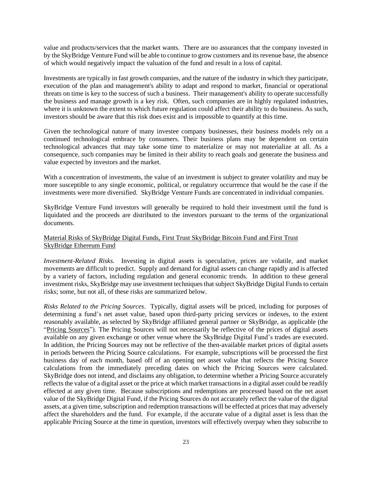value and products/services that the market wants. There are no assurances that the company invested in by the SkyBridge Venture Fund will be able to continue to grow customers and its revenue base, the absence of which would negatively impact the valuation of the fund and result in a loss of capital.

Investments are typically in fast growth companies, and the nature of the industry in which they participate, execution of the plan and management's ability to adapt and respond to market, financial or operational threats on time is key to the success of such a business. Their management's ability to operate successfully the business and manage growth is a key risk. Often, such companies are in highly regulated industries, where it is unknown the extent to which future regulation could affect their ability to do business. As such, investors should be aware that this risk does exist and is impossible to quantify at this time.

Given the technological nature of many investee company businesses, their business models rely on a continued technological embrace by consumers. Their business plans may be dependent on certain technological advances that may take some time to materialize or may not materialize at all. As a consequence, such companies may be limited in their ability to reach goals and generate the business and value expected by investors and the market.

With a concentration of investments, the value of an investment is subject to greater volatility and may be more susceptible to any single economic, political, or regulatory occurrence that would be the case if the investments were more diversified. SkyBridge Venture Funds are concentrated in individual companies.

SkyBridge Venture Fund investors will generally be required to hold their investment until the fund is liquidated and the proceeds are distributed to the investors pursuant to the terms of the organizational documents.

## Material Risks of SkyBridge Digital Funds, First Trust SkyBridge Bitcoin Fund and First Trust SkyBridge Ethereum Fund

*Investment-Related Risks.* Investing in digital assets is speculative, prices are volatile, and market movements are difficult to predict. Supply and demand for digital assets can change rapidly and is affected by a variety of factors, including regulation and general economic trends. In addition to these general investment risks, SkyBridge may use investment techniques that subject SkyBridge Digital Funds to certain risks; some, but not all, of these risks are summarized below.

*Risks Related to the Pricing Sources*. Typically, digital assets will be priced, including for purposes of determining a fund's net asset value, based upon third-party pricing services or indexes, to the extent reasonably available, as selected by SkyBridge affiliated general partner or SkyBridge, as applicable (the "Pricing Sources"). The Pricing Sources will not necessarily be reflective of the prices of digital assets available on any given exchange or other venue where the SkyBridge Digital Fund's trades are executed. In addition, the Pricing Sources may not be reflective of the then-available market prices of digital assets in periods between the Pricing Source calculations. For example, subscriptions will be processed the first business day of each month, based off of an opening net asset value that reflects the Pricing Source calculations from the immediately preceding dates on which the Pricing Sources were calculated. SkyBridge does not intend, and disclaims any obligation, to determine whether a Pricing Source accurately reflects the value of a digital asset or the price at which market transactions in a digital asset could be readily effected at any given time. Because subscriptions and redemptions are processed based on the net asset value of the SkyBridge Digital Fund, if the Pricing Sources do not accurately reflect the value of the digital assets, at a given time, subscription and redemption transactions will be effected at prices that may adversely affect the shareholders and the fund. For example, if the accurate value of a digital asset is less than the applicable Pricing Source at the time in question, investors will effectively overpay when they subscribe to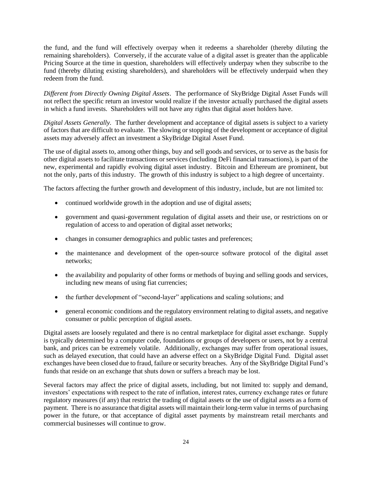the fund, and the fund will effectively overpay when it redeems a shareholder (thereby diluting the remaining shareholders). Conversely, if the accurate value of a digital asset is greater than the applicable Pricing Source at the time in question, shareholders will effectively underpay when they subscribe to the fund (thereby diluting existing shareholders), and shareholders will be effectively underpaid when they redeem from the fund.

*Different from Directly Owning Digital Assets*. The performance of SkyBridge Digital Asset Funds will not reflect the specific return an investor would realize if the investor actually purchased the digital assets in which a fund invests. Shareholders will not have any rights that digital asset holders have.

*Digital Assets Generally.* The further development and acceptance of digital assets is subject to a variety of factors that are difficult to evaluate. The slowing or stopping of the development or acceptance of digital assets may adversely affect an investment a SkyBridge Digital Asset Fund.

The use of digital assets to, among other things, buy and sell goods and services, or to serve as the basis for other digital assets to facilitate transactions or services (including DeFi financial transactions), is part of the new, experimental and rapidly evolving digital asset industry. Bitcoin and Ethereum are prominent, but not the only, parts of this industry. The growth of this industry is subject to a high degree of uncertainty.

The factors affecting the further growth and development of this industry, include, but are not limited to:

- continued worldwide growth in the adoption and use of digital assets;
- government and quasi-government regulation of digital assets and their use, or restrictions on or regulation of access to and operation of digital asset networks;
- changes in consumer demographics and public tastes and preferences;
- the maintenance and development of the open-source software protocol of the digital asset networks;
- the availability and popularity of other forms or methods of buying and selling goods and services, including new means of using fiat currencies;
- the further development of "second-layer" applications and scaling solutions; and
- general economic conditions and the regulatory environment relating to digital assets, and negative consumer or public perception of digital assets.

Digital assets are loosely regulated and there is no central marketplace for digital asset exchange. Supply is typically determined by a computer code, foundations or groups of developers or users, not by a central bank, and prices can be extremely volatile. Additionally, exchanges may suffer from operational issues, such as delayed execution, that could have an adverse effect on a SkyBridge Digital Fund. Digital asset exchanges have been closed due to fraud, failure or security breaches. Any of the SkyBridge Digital Fund's funds that reside on an exchange that shuts down or suffers a breach may be lost.

Several factors may affect the price of digital assets, including, but not limited to: supply and demand, investors' expectations with respect to the rate of inflation, interest rates, currency exchange rates or future regulatory measures (if any) that restrict the trading of digital assets or the use of digital assets as a form of payment. There is no assurance that digital assets will maintain their long-term value in terms of purchasing power in the future, or that acceptance of digital asset payments by mainstream retail merchants and commercial businesses will continue to grow.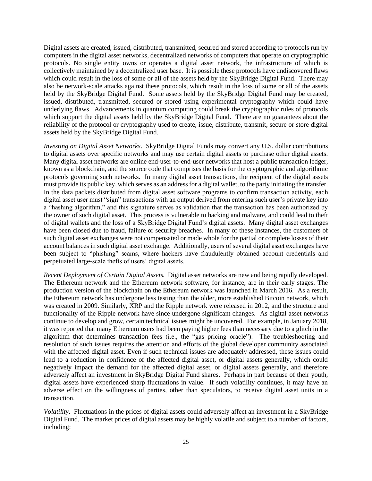Digital assets are created, issued, distributed, transmitted, secured and stored according to protocols run by computers in the digital asset networks, decentralized networks of computers that operate on cryptographic protocols. No single entity owns or operates a digital asset network, the infrastructure of which is collectively maintained by a decentralized user base. It is possible these protocols have undiscovered flaws which could result in the loss of some or all of the assets held by the SkyBridge Digital Fund. There may also be network-scale attacks against these protocols, which result in the loss of some or all of the assets held by the SkyBridge Digital Fund. Some assets held by the SkyBridge Digital Fund may be created, issued, distributed, transmitted, secured or stored using experimental cryptography which could have underlying flaws. Advancements in quantum computing could break the cryptographic rules of protocols which support the digital assets held by the SkyBridge Digital Fund. There are no guarantees about the reliability of the protocol or cryptography used to create, issue, distribute, transmit, secure or store digital assets held by the SkyBridge Digital Fund.

*Investing on Digital Asset Networks*. SkyBridge Digital Funds may convert any U.S. dollar contributions to digital assets over specific networks and may use certain digital assets to purchase other digital assets. Many digital asset networks are online end-user-to-end-user networks that host a public transaction ledger, known as a blockchain, and the source code that comprises the basis for the cryptographic and algorithmic protocols governing such networks. In many digital asset transactions, the recipient of the digital assets must provide its public key, which serves as an address for a digital wallet, to the party initiating the transfer. In the data packets distributed from digital asset software programs to confirm transaction activity, each digital asset user must "sign" transactions with an output derived from entering such user's private key into a "hashing algorithm," and this signature serves as validation that the transaction has been authorized by the owner of such digital asset. This process is vulnerable to hacking and malware, and could lead to theft of digital wallets and the loss of a SkyBridge Digital Fund's digital assets. Many digital asset exchanges have been closed due to fraud, failure or security breaches. In many of these instances, the customers of such digital asset exchanges were not compensated or made whole for the partial or complete losses of their account balances in such digital asset exchange. Additionally, users of several digital asset exchanges have been subject to "phishing" scams, where hackers have fraudulently obtained account credentials and perpetuated large-scale thefts of users' digital assets.

*Recent Deployment of Certain Digital Assets.* Digital asset networks are new and being rapidly developed. The Ethereum network and the Ethereum network software, for instance, are in their early stages. The production version of the blockchain on the Ethereum network was launched in March 2016. As a result, the Ethereum network has undergone less testing than the older, more established Bitcoin network, which was created in 2009. Similarly, XRP and the Ripple network were released in 2012, and the structure and functionality of the Ripple network have since undergone significant changes. As digital asset networks continue to develop and grow, certain technical issues might be uncovered. For example, in January 2018, it was reported that many Ethereum users had been paying higher fees than necessary due to a glitch in the algorithm that determines transaction fees (i.e., the "gas pricing oracle"). The troubleshooting and resolution of such issues requires the attention and efforts of the global developer community associated with the affected digital asset. Even if such technical issues are adequately addressed, these issues could lead to a reduction in confidence of the affected digital asset, or digital assets generally, which could negatively impact the demand for the affected digital asset, or digital assets generally, and therefore adversely affect an investment in SkyBridge Digital Fund shares. Perhaps in part because of their youth, digital assets have experienced sharp fluctuations in value. If such volatility continues, it may have an adverse effect on the willingness of parties, other than speculators, to receive digital asset units in a transaction.

*Volatility*. Fluctuations in the prices of digital assets could adversely affect an investment in a SkyBridge Digital Fund. The market prices of digital assets may be highly volatile and subject to a number of factors, including: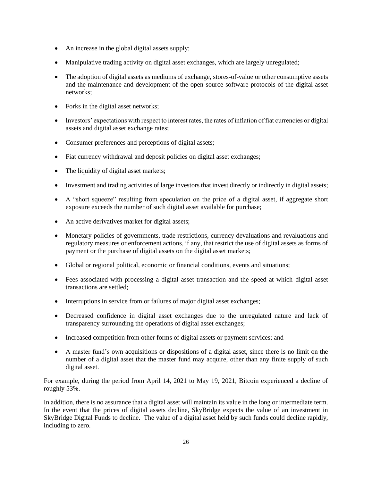- An increase in the global digital assets supply;
- Manipulative trading activity on digital asset exchanges, which are largely unregulated;
- The adoption of digital assets as mediums of exchange, stores-of-value or other consumptive assets and the maintenance and development of the open-source software protocols of the digital asset networks;
- Forks in the digital asset networks;
- Investors' expectations with respect to interest rates, the rates of inflation of fiat currencies or digital assets and digital asset exchange rates;
- Consumer preferences and perceptions of digital assets;
- Fiat currency withdrawal and deposit policies on digital asset exchanges;
- The liquidity of digital asset markets;
- Investment and trading activities of large investors that invest directly or indirectly in digital assets;
- A "short squeeze" resulting from speculation on the price of a digital asset, if aggregate short exposure exceeds the number of such digital asset available for purchase;
- An active derivatives market for digital assets;
- Monetary policies of governments, trade restrictions, currency devaluations and revaluations and regulatory measures or enforcement actions, if any, that restrict the use of digital assets as forms of payment or the purchase of digital assets on the digital asset markets;
- Global or regional political, economic or financial conditions, events and situations;
- Fees associated with processing a digital asset transaction and the speed at which digital asset transactions are settled;
- Interruptions in service from or failures of major digital asset exchanges;
- Decreased confidence in digital asset exchanges due to the unregulated nature and lack of transparency surrounding the operations of digital asset exchanges;
- Increased competition from other forms of digital assets or payment services; and
- A master fund's own acquisitions or dispositions of a digital asset, since there is no limit on the number of a digital asset that the master fund may acquire, other than any finite supply of such digital asset.

For example, during the period from April 14, 2021 to May 19, 2021, Bitcoin experienced a decline of roughly 53%.

In addition, there is no assurance that a digital asset will maintain its value in the long or intermediate term. In the event that the prices of digital assets decline, SkyBridge expects the value of an investment in SkyBridge Digital Funds to decline. The value of a digital asset held by such funds could decline rapidly, including to zero.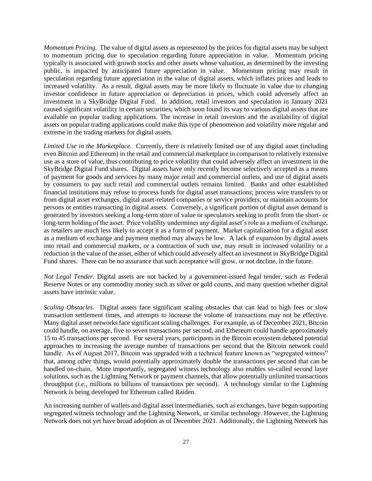*Momentum Pricing*. The value of digital assets as represented by the prices for digital assets may be subject to momentum pricing due to speculation regarding future appreciation in value. Momentum pricing typically is associated with growth stocks and other assets whose valuation, as determined by the investing public, is impacted by anticipated future appreciation in value. Momentum pricing may result in speculation regarding future appreciation in the value of digital assets, which inflates prices and leads to increased volatility. As a result, digital assets may be more likely to fluctuate in value due to changing investor confidence in future appreciation or depreciation in prices, which could adversely affect an investment in a SkyBridge Digital Fund. In addition, retail investors and speculation in January 2021 caused significant volatility in certain securities, which soon found its way to various digital assets that are available on popular trading applications. The increase in retail investors and the availability of digital assets on popular trading applications could make this type of phenomenon and volatility more regular and extreme in the trading markets for digital assets.

*Limited Use in the Marketplace.* Currently, there is relatively limited use of any digital asset (including even Bitcoin and Ethereum) in the retail and commercial marketplace in comparison to relatively extensive use as a store of value, thus contributing to price volatility that could adversely affect an investment in the SkyBridge Digital Fund shares. Digital assets have only recently become selectively accepted as a means of payment for goods and services by many major retail and commercial outlets, and use of digital assets by consumers to pay such retail and commercial outlets remains limited. Banks and other established financial institutions may refuse to process funds for digital asset transactions; process wire transfers to or from digital asset exchanges, digital asset-related companies or service providers; or maintain accounts for persons or entities transacting in digital assets. Conversely, a significant portion of digital asset demand is generated by investors seeking a long-term store of value or speculators seeking to profit from the short- or long-term holding of the asset. Price volatility undermines any digital asset's role as a medium of exchange, as retailers are much less likely to accept it as a form of payment. Market capitalization for a digital asset as a medium of exchange and payment method may always be low. A lack of expansion by digital assets into retail and commercial markets, or a contraction of such use, may result in increased volatility or a reduction in the value of the asset, either of which could adversely affect an investment in SkyBridge Digital Fund shares. There can be no assurance that such acceptance will grow, or not decline, in the future.

*Not Legal Tender*. Digital assets are not backed by a government-issued legal tender, such as Federal Reserve Notes or any commodity money such as silver or gold counts, and many question whether digital assets have intrinsic value.

*Scaling Obstacles.* Digital assets face significant scaling obstacles that can lead to high fees or slow transaction settlement times, and attempts to increase the volume of transactions may not be effective. Many digital asset networks face significant scaling challenges. For example, as of December 2021, Bitcoin could handle, on average, five to seven transactions per second, and Ethereum could handle approximately 15 to 45 transactions per second. For several years, participants in the Bitcoin ecosystem debated potential approaches to increasing the average number of transactions per second that the Bitcoin network could handle. As of August 2017, Bitcoin was upgraded with a technical feature known as "segregated witness" that, among other things, would potentially approximately double the transactions per second that can be handled on-chain. More importantly, segregated witness technology also enables so-called second layer solutions, such as the Lightning Network or payment channels, that allow potentially unlimited transactions throughput (*i.e.*, millions to billions of transactions per second). A technology similar to the Lightning Network is being developed for Ethereum called Raiden.

An increasing number of wallets and digital asset intermediaries, such as exchanges, have begun supporting segregated witness technology and the Lightning Network, or similar technology. However, the Lightning Network does not yet have broad adoption as of December 2021. Additionally, the Lightning Network has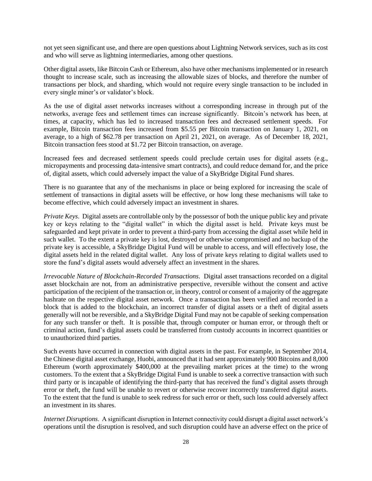not yet seen significant use, and there are open questions about Lightning Network services, such as its cost and who will serve as lightning intermediaries, among other questions.

Other digital assets, like Bitcoin Cash or Ethereum, also have other mechanisms implemented or in research thought to increase scale, such as increasing the allowable sizes of blocks, and therefore the number of transactions per block, and sharding, which would not require every single transaction to be included in every single miner's or validator's block.

As the use of digital asset networks increases without a corresponding increase in through put of the networks, average fees and settlement times can increase significantly. Bitcoin's network has been, at times, at capacity, which has led to increased transaction fees and decreased settlement speeds. For example, Bitcoin transaction fees increased from \$5.55 per Bitcoin transaction on January 1, 2021, on average, to a high of \$62.78 per transaction on April 21, 2021, on average. As of December 18, 2021, Bitcoin transaction fees stood at \$1.72 per Bitcoin transaction, on average.

Increased fees and decreased settlement speeds could preclude certain uses for digital assets (e.g., micropayments and processing data-intensive smart contracts), and could reduce demand for, and the price of, digital assets, which could adversely impact the value of a SkyBridge Digital Fund shares.

There is no guarantee that any of the mechanisms in place or being explored for increasing the scale of settlement of transactions in digital assets will be effective, or how long these mechanisms will take to become effective, which could adversely impact an investment in shares.

*Private Keys*. Digital assets are controllable only by the possessor of both the unique public key and private key or keys relating to the "digital wallet" in which the digital asset is held. Private keys must be safeguarded and kept private in order to prevent a third-party from accessing the digital asset while held in such wallet. To the extent a private key is lost, destroyed or otherwise compromised and no backup of the private key is accessible, a SkyBridge Digital Fund will be unable to access, and will effectively lose, the digital assets held in the related digital wallet. Any loss of private keys relating to digital wallets used to store the fund's digital assets would adversely affect an investment in the shares.

*Irrevocable Nature of Blockchain-Recorded Transactions*. Digital asset transactions recorded on a digital asset blockchain are not, from an administrative perspective, reversible without the consent and active participation of the recipient of the transaction or, in theory, control or consent of a majority of the aggregate hashrate on the respective digital asset network. Once a transaction has been verified and recorded in a block that is added to the blockchain, an incorrect transfer of digital assets or a theft of digital assets generally will not be reversible, and a SkyBridge Digital Fund may not be capable of seeking compensation for any such transfer or theft. It is possible that, through computer or human error, or through theft or criminal action, fund's digital assets could be transferred from custody accounts in incorrect quantities or to unauthorized third parties.

Such events have occurred in connection with digital assets in the past. For example, in September 2014, the Chinese digital asset exchange, Huobi, announced that it had sent approximately 900 Bitcoins and 8,000 Ethereum (worth approximately \$400,000 at the prevailing market prices at the time) to the wrong customers. To the extent that a SkyBridge Digital Fund is unable to seek a corrective transaction with such third party or is incapable of identifying the third-party that has received the fund's digital assets through error or theft, the fund will be unable to revert or otherwise recover incorrectly transferred digital assets. To the extent that the fund is unable to seek redress for such error or theft, such loss could adversely affect an investment in its shares.

*Internet Disruptions*. A significant disruption in Internet connectivity could disrupt a digital asset network's operations until the disruption is resolved, and such disruption could have an adverse effect on the price of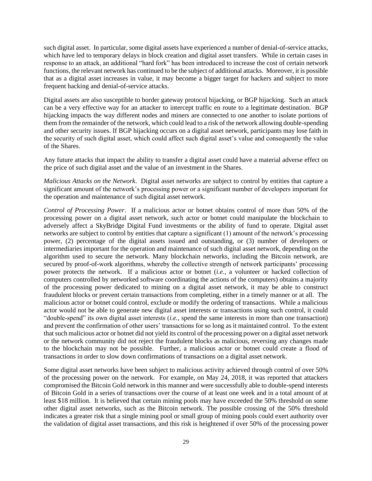such digital asset. In particular, some digital assets have experienced a number of denial-of-service attacks, which have led to temporary delays in block creation and digital asset transfers. While in certain cases in response to an attack, an additional "hard fork" has been introduced to increase the cost of certain network functions, the relevant network has continued to be the subject of additional attacks. Moreover, it is possible that as a digital asset increases in value, it may become a bigger target for hackers and subject to more frequent hacking and denial-of-service attacks.

Digital assets are also susceptible to border gateway protocol hijacking, or BGP hijacking. Such an attack can be a very effective way for an attacker to intercept traffic en route to a legitimate destination. BGP hijacking impacts the way different nodes and miners are connected to one another to isolate portions of them from the remainder of the network, which could lead to a risk of the network allowing double-spending and other security issues. If BGP hijacking occurs on a digital asset network, participants may lose faith in the security of such digital asset, which could affect such digital asset's value and consequently the value of the Shares.

Any future attacks that impact the ability to transfer a digital asset could have a material adverse effect on the price of such digital asset and the value of an investment in the Shares.

*Malicious Attacks on the Network*. Digital asset networks are subject to control by entities that capture a significant amount of the network's processing power or a significant number of developers important for the operation and maintenance of such digital asset network.

*Control of Processing Power*. If a malicious actor or botnet obtains control of more than 50% of the processing power on a digital asset network, such actor or botnet could manipulate the blockchain to adversely affect a SkyBridge Digital Fund investments or the ability of fund to operate. Digital asset networks are subject to control by entities that capture a significant (1) amount of the network's processing power, (2) percentage of the digital assets issued and outstanding, or (3) number of developers or intermediaries important for the operation and maintenance of such digital asset network, depending on the algorithm used to secure the network. Many blockchain networks, including the Bitcoin network, are secured by proof-of-work algorithms, whereby the collective strength of network participants' processing power protects the network. If a malicious actor or botnet (*i.e.*, a volunteer or hacked collection of computers controlled by networked software coordinating the actions of the computers) obtains a majority of the processing power dedicated to mining on a digital asset network, it may be able to construct fraudulent blocks or prevent certain transactions from completing, either in a timely manner or at all. The malicious actor or botnet could control, exclude or modify the ordering of transactions. While a malicious actor would not be able to generate new digital asset interests or transactions using such control, it could "double-spend" its own digital asset interests (*i.e.*, spend the same interests in more than one transaction) and prevent the confirmation of other users' transactions for so long as it maintained control. To the extent that such malicious actor or botnet did not yield its control of the processing power on a digital asset network or the network community did not reject the fraudulent blocks as malicious, reversing any changes made to the blockchain may not be possible. Further, a malicious actor or botnet could create a flood of transactions in order to slow down confirmations of transactions on a digital asset network.

Some digital asset networks have been subject to malicious activity achieved through control of over 50% of the processing power on the network. For example, on May 24, 2018, it was reported that attackers compromised the Bitcoin Gold network in this manner and were successfully able to double-spend interests of Bitcoin Gold in a series of transactions over the course of at least one week and in a total amount of at least \$18 million. It is believed that certain mining pools may have exceeded the 50% threshold on some other digital asset networks, such as the Bitcoin network. The possible crossing of the 50% threshold indicates a greater risk that a single mining pool or small group of mining pools could exert authority over the validation of digital asset transactions, and this risk is heightened if over 50% of the processing power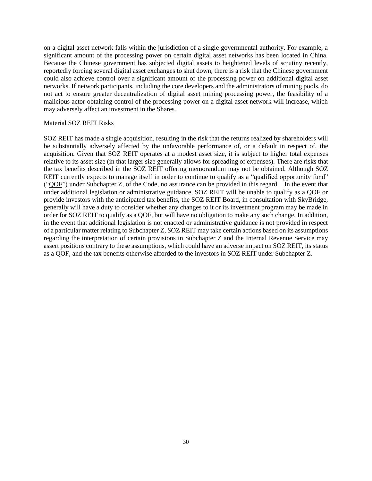on a digital asset network falls within the jurisdiction of a single governmental authority. For example, a significant amount of the processing power on certain digital asset networks has been located in China. Because the Chinese government has subjected digital assets to heightened levels of scrutiny recently, reportedly forcing several digital asset exchanges to shut down, there is a risk that the Chinese government could also achieve control over a significant amount of the processing power on additional digital asset networks. If network participants, including the core developers and the administrators of mining pools, do not act to ensure greater decentralization of digital asset mining processing power, the feasibility of a malicious actor obtaining control of the processing power on a digital asset network will increase, which may adversely affect an investment in the Shares.

#### Material SOZ REIT Risks

SOZ REIT has made a single acquisition, resulting in the risk that the returns realized by shareholders will be substantially adversely affected by the unfavorable performance of, or a default in respect of, the acquisition. Given that SOZ REIT operates at a modest asset size, it is subject to higher total expenses relative to its asset size (in that larger size generally allows for spreading of expenses). There are risks that the tax benefits described in the SOZ REIT offering memorandum may not be obtained. Although SOZ REIT currently expects to manage itself in order to continue to qualify as a "qualified opportunity fund" ("QOF") under Subchapter Z, of the Code, no assurance can be provided in this regard. In the event that under additional legislation or administrative guidance, SOZ REIT will be unable to qualify as a QOF or provide investors with the anticipated tax benefits, the SOZ REIT Board, in consultation with SkyBridge, generally will have a duty to consider whether any changes to it or its investment program may be made in order for SOZ REIT to qualify as a QOF, but will have no obligation to make any such change. In addition, in the event that additional legislation is not enacted or administrative guidance is not provided in respect of a particular matter relating to Subchapter Z, SOZ REIT may take certain actions based on its assumptions regarding the interpretation of certain provisions in Subchapter Z and the Internal Revenue Service may assert positions contrary to these assumptions, which could have an adverse impact on SOZ REIT, its status as a QOF, and the tax benefits otherwise afforded to the investors in SOZ REIT under Subchapter Z.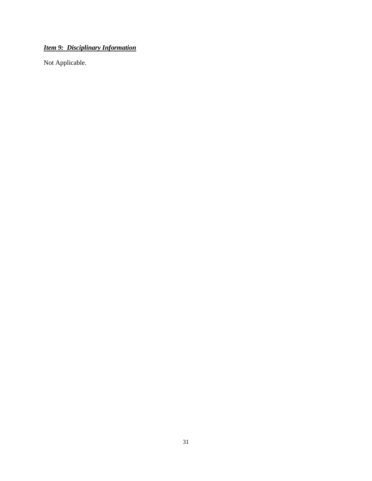# <span id="page-30-0"></span>*Item 9: Disciplinary Information*

Not Applicable.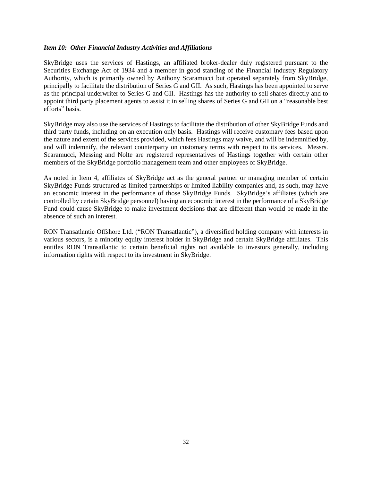## <span id="page-31-0"></span>*Item 10: Other Financial Industry Activities and Affiliations*

SkyBridge uses the services of Hastings, an affiliated broker-dealer duly registered pursuant to the Securities Exchange Act of 1934 and a member in good standing of the Financial Industry Regulatory Authority, which is primarily owned by Anthony Scaramucci but operated separately from SkyBridge, principally to facilitate the distribution of Series G and GII. As such, Hastings has been appointed to serve as the principal underwriter to Series G and GII. Hastings has the authority to sell shares directly and to appoint third party placement agents to assist it in selling shares of Series G and GII on a "reasonable best efforts" basis.

SkyBridge may also use the services of Hastings to facilitate the distribution of other SkyBridge Funds and third party funds, including on an execution only basis. Hastings will receive customary fees based upon the nature and extent of the services provided, which fees Hastings may waive, and will be indemnified by, and will indemnify, the relevant counterparty on customary terms with respect to its services. Messrs. Scaramucci, Messing and Nolte are registered representatives of Hastings together with certain other members of the SkyBridge portfolio management team and other employees of SkyBridge.

As noted in Item 4, affiliates of SkyBridge act as the general partner or managing member of certain SkyBridge Funds structured as limited partnerships or limited liability companies and, as such, may have an economic interest in the performance of those SkyBridge Funds. SkyBridge's affiliates (which are controlled by certain SkyBridge personnel) having an economic interest in the performance of a SkyBridge Fund could cause SkyBridge to make investment decisions that are different than would be made in the absence of such an interest.

RON Transatlantic Offshore Ltd. ("RON Transatlantic"), a diversified holding company with interests in various sectors, is a minority equity interest holder in SkyBridge and certain SkyBridge affiliates. This entitles RON Transatlantic to certain beneficial rights not available to investors generally, including information rights with respect to its investment in SkyBridge.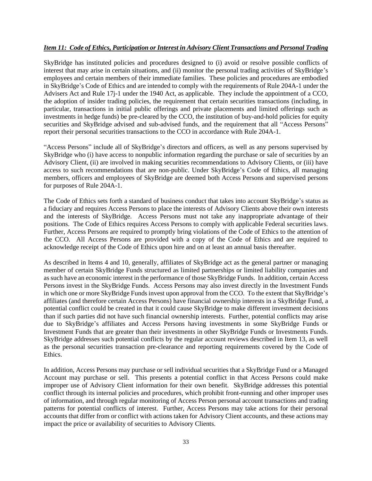## <span id="page-32-0"></span>*Item 11: Code of Ethics, Participation or Interest in Advisory Client Transactions and Personal Trading*

SkyBridge has instituted policies and procedures designed to (i) avoid or resolve possible conflicts of interest that may arise in certain situations, and (ii) monitor the personal trading activities of SkyBridge's employees and certain members of their immediate families. These policies and procedures are embodied in SkyBridge's Code of Ethics and are intended to comply with the requirements of Rule 204A-1 under the Advisers Act and Rule 17j-1 under the 1940 Act, as applicable. They include the appointment of a CCO, the adoption of insider trading policies, the requirement that certain securities transactions (including, in particular, transactions in initial public offerings and private placements and limited offerings such as investments in hedge funds) be pre-cleared by the CCO, the institution of buy-and-hold policies for equity securities and SkyBridge advised and sub-advised funds, and the requirement that all "Access Persons" report their personal securities transactions to the CCO in accordance with Rule 204A-1.

"Access Persons" include all of SkyBridge's directors and officers, as well as any persons supervised by SkyBridge who (i) have access to nonpublic information regarding the purchase or sale of securities by an Advisory Client, (ii) are involved in making securities recommendations to Advisory Clients, or (iii) have access to such recommendations that are non-public. Under SkyBridge's Code of Ethics, all managing members, officers and employees of SkyBridge are deemed both Access Persons and supervised persons for purposes of Rule 204A-1.

The Code of Ethics sets forth a standard of business conduct that takes into account SkyBridge's status as a fiduciary and requires Access Persons to place the interests of Advisory Clients above their own interests and the interests of SkyBridge. Access Persons must not take any inappropriate advantage of their positions. The Code of Ethics requires Access Persons to comply with applicable Federal securities laws. Further, Access Persons are required to promptly bring violations of the Code of Ethics to the attention of the CCO. All Access Persons are provided with a copy of the Code of Ethics and are required to acknowledge receipt of the Code of Ethics upon hire and on at least an annual basis thereafter.

As described in Items 4 and 10, generally, affiliates of SkyBridge act as the general partner or managing member of certain SkyBridge Funds structured as limited partnerships or limited liability companies and as such have an economic interest in the performance of those SkyBridge Funds. In addition, certain Access Persons invest in the SkyBridge Funds. Access Persons may also invest directly in the Investment Funds in which one or more SkyBridge Funds invest upon approval from the CCO. To the extent that SkyBridge's affiliates (and therefore certain Access Persons) have financial ownership interests in a SkyBridge Fund, a potential conflict could be created in that it could cause SkyBridge to make different investment decisions than if such parties did not have such financial ownership interests. Further, potential conflicts may arise due to SkyBridge's affiliates and Access Persons having investments in some SkyBridge Funds or Investment Funds that are greater than their investments in other SkyBridge Funds or Investments Funds. SkyBridge addresses such potential conflicts by the regular account reviews described in Item 13, as well as the personal securities transaction pre-clearance and reporting requirements covered by the Code of Ethics.

In addition, Access Persons may purchase or sell individual securities that a SkyBridge Fund or a Managed Account may purchase or sell. This presents a potential conflict in that Access Persons could make improper use of Advisory Client information for their own benefit. SkyBridge addresses this potential conflict through its internal policies and procedures, which prohibit front-running and other improper uses of information, and through regular monitoring of Access Person personal account transactions and trading patterns for potential conflicts of interest. Further, Access Persons may take actions for their personal accounts that differ from or conflict with actions taken for Advisory Client accounts, and these actions may impact the price or availability of securities to Advisory Clients.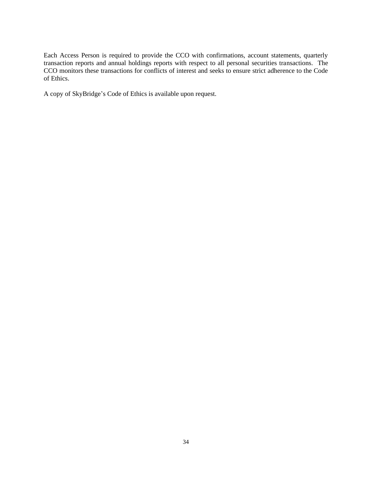Each Access Person is required to provide the CCO with confirmations, account statements, quarterly transaction reports and annual holdings reports with respect to all personal securities transactions. The CCO monitors these transactions for conflicts of interest and seeks to ensure strict adherence to the Code of Ethics.

A copy of SkyBridge's Code of Ethics is available upon request.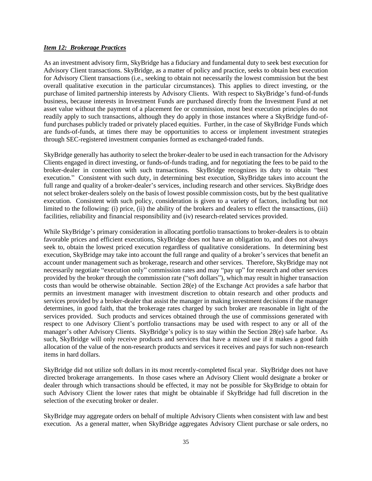#### <span id="page-34-0"></span>*Item 12: Brokerage Practices*

As an investment advisory firm, SkyBridge has a fiduciary and fundamental duty to seek best execution for Advisory Client transactions. SkyBridge, as a matter of policy and practice, seeks to obtain best execution for Advisory Client transactions (i.e., seeking to obtain not necessarily the lowest commission but the best overall qualitative execution in the particular circumstances). This applies to direct investing, or the purchase of limited partnership interests by Advisory Clients. With respect to SkyBridge's fund-of-funds business, because interests in Investment Funds are purchased directly from the Investment Fund at net asset value without the payment of a placement fee or commission, most best execution principles do not readily apply to such transactions, although they do apply in those instances where a SkyBridge fund-offund purchases publicly traded or privately placed equities. Further, in the case of SkyBridge Funds which are funds-of-funds, at times there may be opportunities to access or implement investment strategies through SEC-registered investment companies formed as exchanged-traded funds.

SkyBridge generally has authority to select the broker-dealer to be used in each transaction for the Advisory Clients engaged in direct investing, or funds-of-funds trading, and for negotiating the fees to be paid to the broker-dealer in connection with such transactions. SkyBridge recognizes its duty to obtain "best execution." Consistent with such duty, in determining best execution, SkyBridge takes into account the full range and quality of a broker-dealer's services, including research and other services. SkyBridge does not select broker-dealers solely on the basis of lowest possible commission costs, but by the best qualitative execution. Consistent with such policy, consideration is given to a variety of factors, including but not limited to the following: (i) price, (ii) the ability of the brokers and dealers to effect the transactions, (iii) facilities, reliability and financial responsibility and (iv) research-related services provided.

While SkyBridge's primary consideration in allocating portfolio transactions to broker-dealers is to obtain favorable prices and efficient executions, SkyBridge does not have an obligation to, and does not always seek to, obtain the lowest priced execution regardless of qualitative considerations. In determining best execution, SkyBridge may take into account the full range and quality of a broker's services that benefit an account under management such as brokerage, research and other services. Therefore, SkyBridge may not necessarily negotiate "execution only" commission rates and may "pay up" for research and other services provided by the broker through the commission rate ("soft dollars"), which may result in higher transaction costs than would be otherwise obtainable. Section 28(e) of the Exchange Act provides a safe harbor that permits an investment manager with investment discretion to obtain research and other products and services provided by a broker-dealer that assist the manager in making investment decisions if the manager determines, in good faith, that the brokerage rates charged by such broker are reasonable in light of the services provided. Such products and services obtained through the use of commissions generated with respect to one Advisory Client's portfolio transactions may be used with respect to any or all of the manager's other Advisory Clients. SkyBridge's policy is to stay within the Section 28(e) safe harbor. As such, SkyBridge will only receive products and services that have a mixed use if it makes a good faith allocation of the value of the non-research products and services it receives and pays for such non-research items in hard dollars.

SkyBridge did not utilize soft dollars in its most recently-completed fiscal year. SkyBridge does not have directed brokerage arrangements. In those cases where an Advisory Client would designate a broker or dealer through which transactions should be effected, it may not be possible for SkyBridge to obtain for such Advisory Client the lower rates that might be obtainable if SkyBridge had full discretion in the selection of the executing broker or dealer.

SkyBridge may aggregate orders on behalf of multiple Advisory Clients when consistent with law and best execution. As a general matter, when SkyBridge aggregates Advisory Client purchase or sale orders, no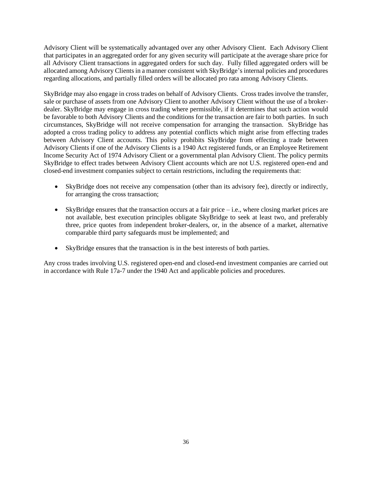Advisory Client will be systematically advantaged over any other Advisory Client. Each Advisory Client that participates in an aggregated order for any given security will participate at the average share price for all Advisory Client transactions in aggregated orders for such day. Fully filled aggregated orders will be allocated among Advisory Clients in a manner consistent with SkyBridge's internal policies and procedures regarding allocations, and partially filled orders will be allocated pro rata among Advisory Clients.

SkyBridge may also engage in cross trades on behalf of Advisory Clients. Cross trades involve the transfer, sale or purchase of assets from one Advisory Client to another Advisory Client without the use of a brokerdealer. SkyBridge may engage in cross trading where permissible, if it determines that such action would be favorable to both Advisory Clients and the conditions for the transaction are fair to both parties. In such circumstances, SkyBridge will not receive compensation for arranging the transaction. SkyBridge has adopted a cross trading policy to address any potential conflicts which might arise from effecting trades between Advisory Client accounts. This policy prohibits SkyBridge from effecting a trade between Advisory Clients if one of the Advisory Clients is a 1940 Act registered funds, or an Employee Retirement Income Security Act of 1974 Advisory Client or a governmental plan Advisory Client. The policy permits SkyBridge to effect trades between Advisory Client accounts which are not U.S. registered open-end and closed-end investment companies subject to certain restrictions, including the requirements that:

- SkyBridge does not receive any compensation (other than its advisory fee), directly or indirectly, for arranging the cross transaction;
- SkyBridge ensures that the transaction occurs at a fair price  $-$  i.e., where closing market prices are not available, best execution principles obligate SkyBridge to seek at least two, and preferably three, price quotes from independent broker-dealers, or, in the absence of a market, alternative comparable third party safeguards must be implemented; and
- SkyBridge ensures that the transaction is in the best interests of both parties.

Any cross trades involving U.S. registered open-end and closed-end investment companies are carried out in accordance with Rule 17a-7 under the 1940 Act and applicable policies and procedures.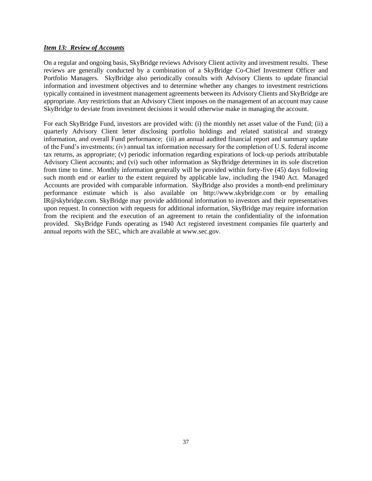## <span id="page-36-0"></span>*Item 13: Review of Accounts*

On a regular and ongoing basis, SkyBridge reviews Advisory Client activity and investment results. These reviews are generally conducted by a combination of a SkyBridge Co-Chief Investment Officer and Portfolio Managers. SkyBridge also periodically consults with Advisory Clients to update financial information and investment objectives and to determine whether any changes to investment restrictions typically contained in investment management agreements between its Advisory Clients and SkyBridge are appropriate. Any restrictions that an Advisory Client imposes on the management of an account may cause SkyBridge to deviate from investment decisions it would otherwise make in managing the account.

For each SkyBridge Fund, investors are provided with: (i) the monthly net asset value of the Fund; (ii) a quarterly Advisory Client letter disclosing portfolio holdings and related statistical and strategy information, and overall Fund performance; (iii) an annual audited financial report and summary update of the Fund's investments; (iv) annual tax information necessary for the completion of U.S. federal income tax returns, as appropriate; (v) periodic information regarding expirations of lock-up periods attributable Advisory Client accounts; and (vi) such other information as SkyBridge determines in its sole discretion from time to time. Monthly information generally will be provided within forty-five (45) days following such month end or earlier to the extent required by applicable law, including the 1940 Act. Managed Accounts are provided with comparable information. SkyBridge also provides a month-end preliminary performance estimate which is also available on [http://www.skybridge.com](http://www.skybridge.com/) or by emailing [IR@skybridge.com.](mailto:IR@skybridge.com) SkyBridge may provide additional information to investors and their representatives upon request. In connection with requests for additional information, SkyBridge may require information from the recipient and the execution of an agreement to retain the confidentiality of the information provided. SkyBridge Funds operating as 1940 Act registered investment companies file quarterly and annual reports with the SEC, which are available at www.sec.gov.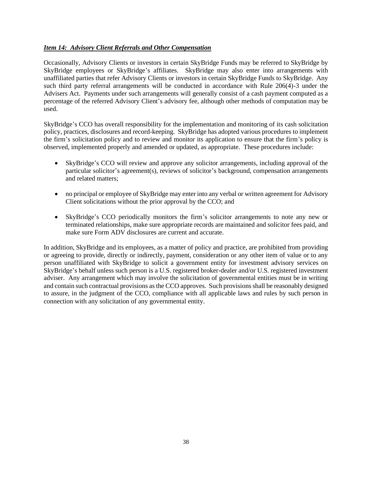## <span id="page-37-0"></span>*Item 14: Advisory Client Referrals and Other Compensation*

Occasionally, Advisory Clients or investors in certain SkyBridge Funds may be referred to SkyBridge by SkyBridge employees or SkyBridge's affiliates. SkyBridge may also enter into arrangements with unaffiliated parties that refer Advisory Clients or investors in certain SkyBridge Funds to SkyBridge. Any such third party referral arrangements will be conducted in accordance with Rule 206(4)-3 under the Advisers Act. Payments under such arrangements will generally consist of a cash payment computed as a percentage of the referred Advisory Client's advisory fee, although other methods of computation may be used.

SkyBridge's CCO has overall responsibility for the implementation and monitoring of its cash solicitation policy, practices, disclosures and record-keeping. SkyBridge has adopted various procedures to implement the firm's solicitation policy and to review and monitor its application to ensure that the firm's policy is observed, implemented properly and amended or updated, as appropriate. These procedures include:

- SkyBridge's CCO will review and approve any solicitor arrangements, including approval of the particular solicitor's agreement(s), reviews of solicitor's background, compensation arrangements and related matters;
- no principal or employee of SkyBridge may enter into any verbal or written agreement for Advisory Client solicitations without the prior approval by the CCO; and
- SkyBridge's CCO periodically monitors the firm's solicitor arrangements to note any new or terminated relationships, make sure appropriate records are maintained and solicitor fees paid, and make sure Form ADV disclosures are current and accurate.

In addition, SkyBridge and its employees, as a matter of policy and practice, are prohibited from providing or agreeing to provide, directly or indirectly, payment, consideration or any other item of value or to any person unaffiliated with SkyBridge to solicit a government entity for investment advisory services on SkyBridge's behalf unless such person is a U.S. registered broker-dealer and/or U.S. registered investment adviser. Any arrangement which may involve the solicitation of governmental entities must be in writing and contain such contractual provisions as the CCO approves. Such provisions shall be reasonably designed to assure, in the judgment of the CCO, compliance with all applicable laws and rules by such person in connection with any solicitation of any governmental entity.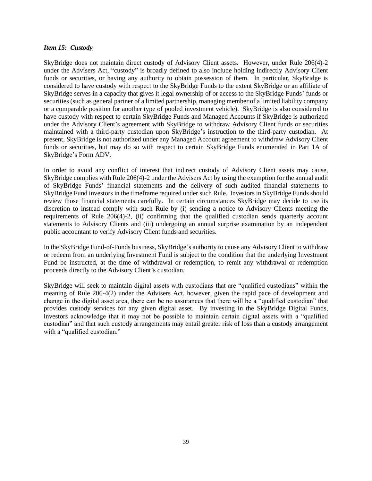### <span id="page-38-0"></span>*Item 15: Custody*

SkyBridge does not maintain direct custody of Advisory Client assets. However, under Rule 206(4)-2 under the Advisers Act, "custody" is broadly defined to also include holding indirectly Advisory Client funds or securities, or having any authority to obtain possession of them. In particular, SkyBridge is considered to have custody with respect to the SkyBridge Funds to the extent SkyBridge or an affiliate of SkyBridge serves in a capacity that gives it legal ownership of or access to the SkyBridge Funds' funds or securities (such as general partner of a limited partnership, managing member of a limited liability company or a comparable position for another type of pooled investment vehicle). SkyBridge is also considered to have custody with respect to certain SkyBridge Funds and Managed Accounts if SkyBridge is authorized under the Advisory Client's agreement with SkyBridge to withdraw Advisory Client funds or securities maintained with a third-party custodian upon SkyBridge's instruction to the third-party custodian. At present, SkyBridge is not authorized under any Managed Account agreement to withdraw Advisory Client funds or securities, but may do so with respect to certain SkyBridge Funds enumerated in Part 1A of SkyBridge's Form ADV.

In order to avoid any conflict of interest that indirect custody of Advisory Client assets may cause, SkyBridge complies with Rule 206(4)-2 under the Advisers Act by using the exemption for the annual audit of SkyBridge Funds' financial statements and the delivery of such audited financial statements to SkyBridge Fund investors in the timeframe required under such Rule. Investors in SkyBridge Funds should review those financial statements carefully. In certain circumstances SkyBridge may decide to use its discretion to instead comply with such Rule by (i) sending a notice to Advisory Clients meeting the requirements of Rule 206(4)-2, (ii) confirming that the qualified custodian sends quarterly account statements to Advisory Clients and (iii) undergoing an annual surprise examination by an independent public accountant to verify Advisory Client funds and securities.

In the SkyBridge Fund-of-Funds business, SkyBridge's authority to cause any Advisory Client to withdraw or redeem from an underlying Investment Fund is subject to the condition that the underlying Investment Fund be instructed, at the time of withdrawal or redemption, to remit any withdrawal or redemption proceeds directly to the Advisory Client's custodian.

SkyBridge will seek to maintain digital assets with custodians that are "qualified custodians" within the meaning of Rule 206-4(2) under the Advisers Act, however, given the rapid pace of development and change in the digital asset area, there can be no assurances that there will be a "qualified custodian" that provides custody services for any given digital asset. By investing in the SkyBridge Digital Funds, investors acknowledge that it may not be possible to maintain certain digital assets with a "qualified custodian" and that such custody arrangements may entail greater risk of loss than a custody arrangement with a "qualified custodian."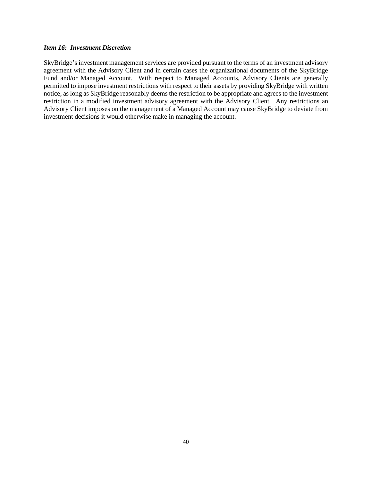## <span id="page-39-0"></span>*Item 16: Investment Discretion*

SkyBridge's investment management services are provided pursuant to the terms of an investment advisory agreement with the Advisory Client and in certain cases the organizational documents of the SkyBridge Fund and/or Managed Account. With respect to Managed Accounts, Advisory Clients are generally permitted to impose investment restrictions with respect to their assets by providing SkyBridge with written notice, as long as SkyBridge reasonably deems the restriction to be appropriate and agrees to the investment restriction in a modified investment advisory agreement with the Advisory Client. Any restrictions an Advisory Client imposes on the management of a Managed Account may cause SkyBridge to deviate from investment decisions it would otherwise make in managing the account.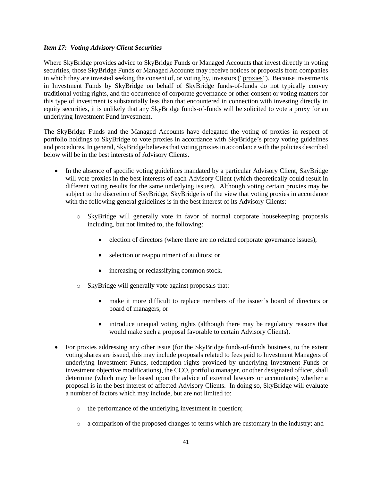## <span id="page-40-0"></span>*Item 17: Voting Advisory Client Securities*

Where SkyBridge provides advice to SkyBridge Funds or Managed Accounts that invest directly in voting securities, those SkyBridge Funds or Managed Accounts may receive notices or proposals from companies in which they are invested seeking the consent of, or voting by, investors ("proxies"). Because investments in Investment Funds by SkyBridge on behalf of SkyBridge funds-of-funds do not typically convey traditional voting rights, and the occurrence of corporate governance or other consent or voting matters for this type of investment is substantially less than that encountered in connection with investing directly in equity securities, it is unlikely that any SkyBridge funds-of-funds will be solicited to vote a proxy for an underlying Investment Fund investment.

The SkyBridge Funds and the Managed Accounts have delegated the voting of proxies in respect of portfolio holdings to SkyBridge to vote proxies in accordance with SkyBridge's proxy voting guidelines and procedures. In general, SkyBridge believes that voting proxies in accordance with the policies described below will be in the best interests of Advisory Clients.

- In the absence of specific voting guidelines mandated by a particular Advisory Client, SkyBridge will vote proxies in the best interests of each Advisory Client (which theoretically could result in different voting results for the same underlying issuer). Although voting certain proxies may be subject to the discretion of SkyBridge, SkyBridge is of the view that voting proxies in accordance with the following general guidelines is in the best interest of its Advisory Clients:
	- o SkyBridge will generally vote in favor of normal corporate housekeeping proposals including, but not limited to, the following:
		- election of directors (where there are no related corporate governance issues);
		- selection or reappointment of auditors; or
		- increasing or reclassifying common stock.
	- o SkyBridge will generally vote against proposals that:
		- make it more difficult to replace members of the issuer's board of directors or board of managers; or
		- introduce unequal voting rights (although there may be regulatory reasons that would make such a proposal favorable to certain Advisory Clients).
- For proxies addressing any other issue (for the SkyBridge funds-of-funds business, to the extent voting shares are issued, this may include proposals related to fees paid to Investment Managers of underlying Investment Funds, redemption rights provided by underlying Investment Funds or investment objective modifications), the CCO, portfolio manager, or other designated officer, shall determine (which may be based upon the advice of external lawyers or accountants) whether a proposal is in the best interest of affected Advisory Clients. In doing so, SkyBridge will evaluate a number of factors which may include, but are not limited to:
	- o the performance of the underlying investment in question;
	- o a comparison of the proposed changes to terms which are customary in the industry; and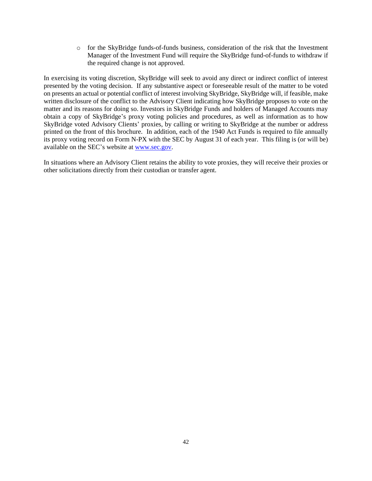o for the SkyBridge funds-of-funds business, consideration of the risk that the Investment Manager of the Investment Fund will require the SkyBridge fund-of-funds to withdraw if the required change is not approved.

In exercising its voting discretion, SkyBridge will seek to avoid any direct or indirect conflict of interest presented by the voting decision. If any substantive aspect or foreseeable result of the matter to be voted on presents an actual or potential conflict of interest involving SkyBridge, SkyBridge will, if feasible, make written disclosure of the conflict to the Advisory Client indicating how SkyBridge proposes to vote on the matter and its reasons for doing so. Investors in SkyBridge Funds and holders of Managed Accounts may obtain a copy of SkyBridge's proxy voting policies and procedures, as well as information as to how SkyBridge voted Advisory Clients' proxies, by calling or writing to SkyBridge at the number or address printed on the front of this brochure. In addition, each of the 1940 Act Funds is required to file annually its proxy voting record on Form N-PX with the SEC by August 31 of each year. This filing is (or will be) available on the SEC's website at [www.sec.gov.](http://www.sec.gov/)

In situations where an Advisory Client retains the ability to vote proxies, they will receive their proxies or other solicitations directly from their custodian or transfer agent.